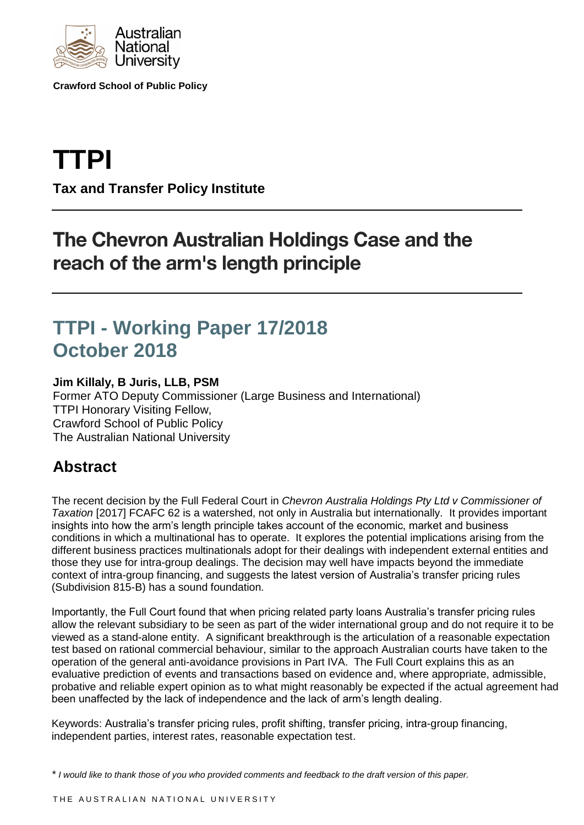

**Crawford School of Public Policy**

# **TTPI**

**Tax and Transfer Policy Institute**

## The Chevron Australian Holdings Case and the reach of the arm's length principle

### **TTPI - Working Paper 17/2018 October 2018**

#### **Jim Killaly, B Juris, LLB, PSM**

Former ATO Deputy Commissioner (Large Business and International) TTPI Honorary Visiting Fellow, Crawford School of Public Policy The Australian National University

### **Abstract**

The recent decision by the Full Federal Court in *Chevron Australia Holdings Pty Ltd v Commissioner of Taxation* [2017] FCAFC 62 is a watershed, not only in Australia but internationally. It provides important insights into how the arm's length principle takes account of the economic, market and business conditions in which a multinational has to operate. It explores the potential implications arising from the different business practices multinationals adopt for their dealings with independent external entities and those they use for intra-group dealings. The decision may well have impacts beyond the immediate context of intra-group financing, and suggests the latest version of Australia's transfer pricing rules (Subdivision 815-B) has a sound foundation.

Importantly, the Full Court found that when pricing related party loans Australia's transfer pricing rules allow the relevant subsidiary to be seen as part of the wider international group and do not require it to be viewed as a stand-alone entity. A significant breakthrough is the articulation of a reasonable expectation test based on rational commercial behaviour, similar to the approach Australian courts have taken to the operation of the general anti-avoidance provisions in Part IVA. The Full Court explains this as an evaluative prediction of events and transactions based on evidence and, where appropriate, admissible, probative and reliable expert opinion as to what might reasonably be expected if the actual agreement had been unaffected by the lack of independence and the lack of arm's length dealing.

Keywords: Australia's transfer pricing rules, profit shifting, transfer pricing, intra-group financing, independent parties, interest rates, reasonable expectation test.

*\* I would like to thank those of you who provided comments and feedback to the draft version of this paper.*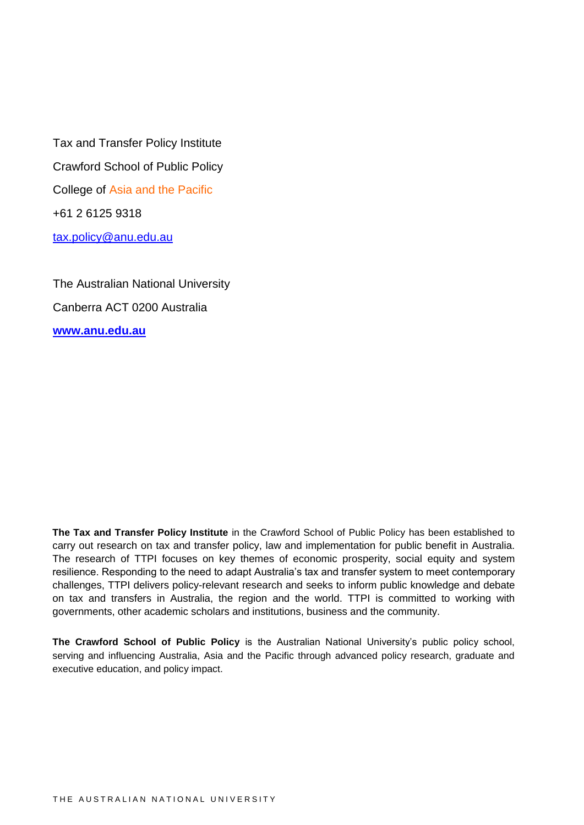Tax and Transfer Policy Institute Crawford School of Public Policy College of Asia and the Pacific +61 2 6125 9318 [tax.policy@anu.edu.au](mailto:tax.policy@anu.edu.au)

The Australian National University Canberra ACT 0200 Australia **[www.anu.edu.au](http://www.anu.edu.au/)**

**The Tax and Transfer Policy Institute** in the Crawford School of Public Policy has been established to carry out research on tax and transfer policy, law and implementation for public benefit in Australia. The research of TTPI focuses on key themes of economic prosperity, social equity and system resilience. Responding to the need to adapt Australia's tax and transfer system to meet contemporary challenges, TTPI delivers policy-relevant research and seeks to inform public knowledge and debate on tax and transfers in Australia, the region and the world. TTPI is committed to working with governments, other academic scholars and institutions, business and the community.

**The Crawford School of Public Policy** is the Australian National University's public policy school, serving and influencing Australia, Asia and the Pacific through advanced policy research, graduate and executive education, and policy impact.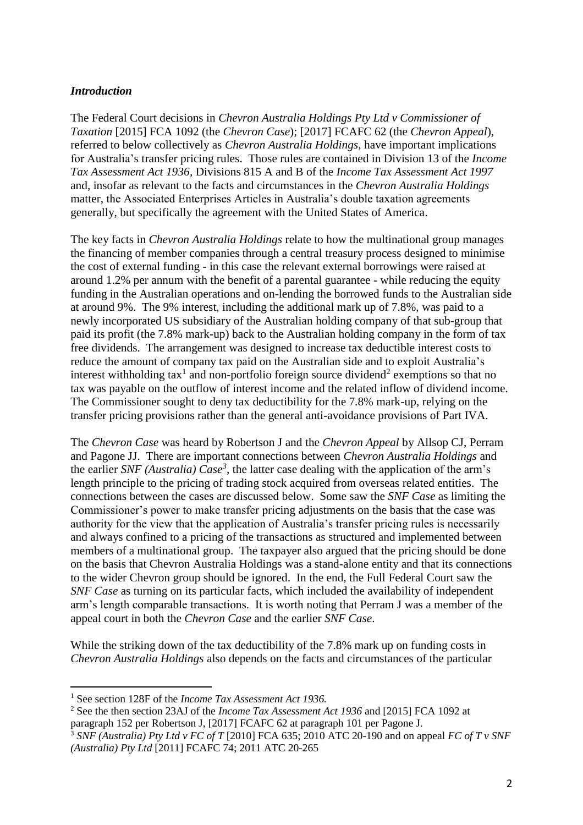#### *Introduction*

The Federal Court decisions in *Chevron Australia Holdings Pty Ltd v Commissioner of Taxation* [2015] FCA 1092 (the *Chevron Case*); [2017] FCAFC 62 (the *Chevron Appeal*), referred to below collectively as *Chevron Australia Holdings,* have important implications for Australia's transfer pricing rules. Those rules are contained in Division 13 of the *Income Tax Assessment Act 1936,* Divisions 815 A and B of the *Income Tax Assessment Act 1997*  and, insofar as relevant to the facts and circumstances in the *Chevron Australia Holdings*  matter, the Associated Enterprises Articles in Australia's double taxation agreements generally, but specifically the agreement with the United States of America.

The key facts in *Chevron Australia Holdings* relate to how the multinational group manages the financing of member companies through a central treasury process designed to minimise the cost of external funding - in this case the relevant external borrowings were raised at around 1.2% per annum with the benefit of a parental guarantee - while reducing the equity funding in the Australian operations and on-lending the borrowed funds to the Australian side at around 9%. The 9% interest, including the additional mark up of 7.8%, was paid to a newly incorporated US subsidiary of the Australian holding company of that sub-group that paid its profit (the 7.8% mark-up) back to the Australian holding company in the form of tax free dividends. The arrangement was designed to increase tax deductible interest costs to reduce the amount of company tax paid on the Australian side and to exploit Australia's interest withholding tax<sup>1</sup> and non-portfolio foreign source dividend<sup>2</sup> exemptions so that no tax was payable on the outflow of interest income and the related inflow of dividend income. The Commissioner sought to deny tax deductibility for the 7.8% mark-up, relying on the transfer pricing provisions rather than the general anti-avoidance provisions of Part IVA.

The *Chevron Case* was heard by Robertson J and the *Chevron Appeal* by Allsop CJ, Perram and Pagone JJ. There are important connections between *Chevron Australia Holdings* and the earlier *SNF (Australia) Case<sup>3</sup>*, the latter case dealing with the application of the arm's length principle to the pricing of trading stock acquired from overseas related entities. The connections between the cases are discussed below. Some saw the *SNF Case* as limiting the Commissioner's power to make transfer pricing adjustments on the basis that the case was authority for the view that the application of Australia's transfer pricing rules is necessarily and always confined to a pricing of the transactions as structured and implemented between members of a multinational group. The taxpayer also argued that the pricing should be done on the basis that Chevron Australia Holdings was a stand-alone entity and that its connections to the wider Chevron group should be ignored. In the end, the Full Federal Court saw the *SNF Case* as turning on its particular facts, which included the availability of independent arm's length comparable transactions. It is worth noting that Perram J was a member of the appeal court in both the *Chevron Case* and the earlier *SNF Case*.

While the striking down of the tax deductibility of the 7.8% mark up on funding costs in *Chevron Australia Holdings* also depends on the facts and circumstances of the particular

<sup>2</sup> See the then section 23AJ of the *Income Tax Assessment Act 1936* and [2015] FCA 1092 at paragraph 152 per Robertson J, [2017] FCAFC 62 at paragraph 101 per Pagone J*.*

<sup>1</sup> See section 128F of the *Income Tax Assessment Act 1936.*

<sup>3</sup> *SNF (Australia) Pty Ltd v FC of T* [2010] FCA 635; 2010 ATC 20-190 and on appeal *FC of T v SNF (Australia) Pty Ltd* [2011] FCAFC 74; 2011 ATC 20-265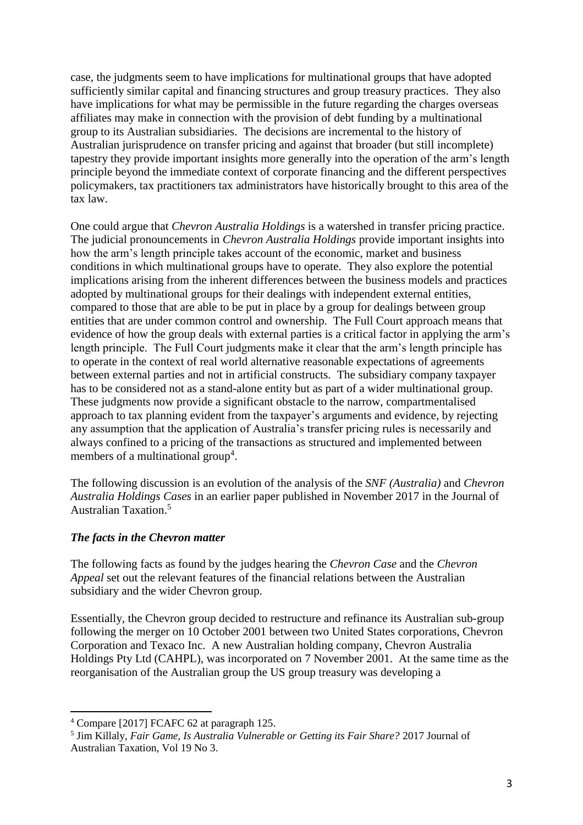case, the judgments seem to have implications for multinational groups that have adopted sufficiently similar capital and financing structures and group treasury practices. They also have implications for what may be permissible in the future regarding the charges overseas affiliates may make in connection with the provision of debt funding by a multinational group to its Australian subsidiaries. The decisions are incremental to the history of Australian jurisprudence on transfer pricing and against that broader (but still incomplete) tapestry they provide important insights more generally into the operation of the arm's length principle beyond the immediate context of corporate financing and the different perspectives policymakers, tax practitioners tax administrators have historically brought to this area of the tax law.

One could argue that *Chevron Australia Holdings* is a watershed in transfer pricing practice. The judicial pronouncements in *Chevron Australia Holdings* provide important insights into how the arm's length principle takes account of the economic, market and business conditions in which multinational groups have to operate. They also explore the potential implications arising from the inherent differences between the business models and practices adopted by multinational groups for their dealings with independent external entities, compared to those that are able to be put in place by a group for dealings between group entities that are under common control and ownership. The Full Court approach means that evidence of how the group deals with external parties is a critical factor in applying the arm's length principle. The Full Court judgments make it clear that the arm's length principle has to operate in the context of real world alternative reasonable expectations of agreements between external parties and not in artificial constructs. The subsidiary company taxpayer has to be considered not as a stand-alone entity but as part of a wider multinational group. These judgments now provide a significant obstacle to the narrow, compartmentalised approach to tax planning evident from the taxpayer's arguments and evidence, by rejecting any assumption that the application of Australia's transfer pricing rules is necessarily and always confined to a pricing of the transactions as structured and implemented between members of a multinational group<sup>4</sup>.

The following discussion is an evolution of the analysis of the *SNF (Australia)* and *Chevron Australia Holdings Cases* in an earlier paper published in November 2017 in the Journal of Australian Taxation.<sup>5</sup>

#### *The facts in the Chevron matter*

The following facts as found by the judges hearing the *Chevron Case* and the *Chevron Appeal* set out the relevant features of the financial relations between the Australian subsidiary and the wider Chevron group.

Essentially, the Chevron group decided to restructure and refinance its Australian sub-group following the merger on 10 October 2001 between two United States corporations, Chevron Corporation and Texaco Inc. A new Australian holding company, Chevron Australia Holdings Pty Ltd (CAHPL), was incorporated on 7 November 2001. At the same time as the reorganisation of the Australian group the US group treasury was developing a

<sup>4</sup> Compare [2017] FCAFC 62 at paragraph 125.

<sup>5</sup> Jim Killaly, *Fair Game, Is Australia Vulnerable or Getting its Fair Share?* 2017 Journal of Australian Taxation, Vol 19 No 3.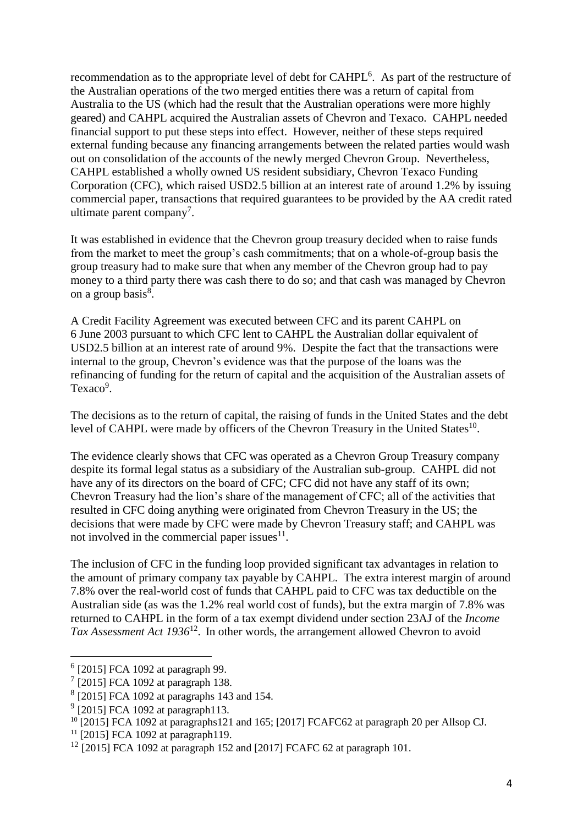recommendation as to the appropriate level of debt for CAHPL<sup>6</sup>. As part of the restructure of the Australian operations of the two merged entities there was a return of capital from Australia to the US (which had the result that the Australian operations were more highly geared) and CAHPL acquired the Australian assets of Chevron and Texaco. CAHPL needed financial support to put these steps into effect. However, neither of these steps required external funding because any financing arrangements between the related parties would wash out on consolidation of the accounts of the newly merged Chevron Group. Nevertheless, CAHPL established a wholly owned US resident subsidiary, Chevron Texaco Funding Corporation (CFC), which raised USD2.5 billion at an interest rate of around 1.2% by issuing commercial paper, transactions that required guarantees to be provided by the AA credit rated ultimate parent company<sup>7</sup>.

It was established in evidence that the Chevron group treasury decided when to raise funds from the market to meet the group's cash commitments; that on a whole-of-group basis the group treasury had to make sure that when any member of the Chevron group had to pay money to a third party there was cash there to do so; and that cash was managed by Chevron on a group basis<sup>8</sup>.

A Credit Facility Agreement was executed between CFC and its parent CAHPL on 6 June 2003 pursuant to which CFC lent to CAHPL the Australian dollar equivalent of USD2.5 billion at an interest rate of around 9%. Despite the fact that the transactions were internal to the group, Chevron's evidence was that the purpose of the loans was the refinancing of funding for the return of capital and the acquisition of the Australian assets of Texaco<sup>9</sup>.

The decisions as to the return of capital, the raising of funds in the United States and the debt level of CAHPL were made by officers of the Chevron Treasury in the United States<sup>10</sup>.

The evidence clearly shows that CFC was operated as a Chevron Group Treasury company despite its formal legal status as a subsidiary of the Australian sub-group. CAHPL did not have any of its directors on the board of CFC; CFC did not have any staff of its own; Chevron Treasury had the lion's share of the management of CFC; all of the activities that resulted in CFC doing anything were originated from Chevron Treasury in the US; the decisions that were made by CFC were made by Chevron Treasury staff; and CAHPL was not involved in the commercial paper issues $^{11}$ .

The inclusion of CFC in the funding loop provided significant tax advantages in relation to the amount of primary company tax payable by CAHPL. The extra interest margin of around 7.8% over the real-world cost of funds that CAHPL paid to CFC was tax deductible on the Australian side (as was the 1.2% real world cost of funds), but the extra margin of 7.8% was returned to CAHPL in the form of a tax exempt dividend under section 23AJ of the *Income Tax Assessment Act 1936*<sup>12</sup> . In other words, the arrangement allowed Chevron to avoid

<sup>6</sup> [2015] FCA 1092 at paragraph 99.

 $7$  [2015] FCA 1092 at paragraph 138.

<sup>&</sup>lt;sup>8</sup> [2015] FCA 1092 at paragraphs 143 and 154.

 $9$  [2015] FCA 1092 at paragraph113.

<sup>&</sup>lt;sup>10</sup> [2015] FCA 1092 at paragraphs121 and 165; [2017] FCAFC62 at paragraph 20 per Allsop CJ.

 $11$  [2015] FCA 1092 at paragraph119.

 $12$  [2015] FCA 1092 at paragraph 152 and [2017] FCAFC 62 at paragraph 101.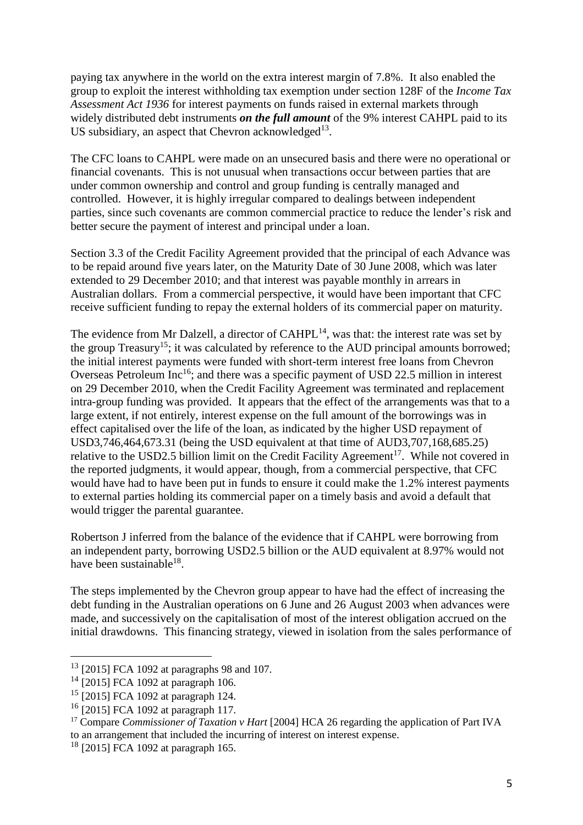paying tax anywhere in the world on the extra interest margin of 7.8%. It also enabled the group to exploit the interest withholding tax exemption under section 128F of the *Income Tax Assessment Act 1936* for interest payments on funds raised in external markets through widely distributed debt instruments *on the full amount* of the 9% interest CAHPL paid to its US subsidiary, an aspect that Chevron acknowledged $13$ .

The CFC loans to CAHPL were made on an unsecured basis and there were no operational or financial covenants. This is not unusual when transactions occur between parties that are under common ownership and control and group funding is centrally managed and controlled. However, it is highly irregular compared to dealings between independent parties, since such covenants are common commercial practice to reduce the lender's risk and better secure the payment of interest and principal under a loan.

Section 3.3 of the Credit Facility Agreement provided that the principal of each Advance was to be repaid around five years later, on the Maturity Date of 30 June 2008, which was later extended to 29 December 2010; and that interest was payable monthly in arrears in Australian dollars. From a commercial perspective, it would have been important that CFC receive sufficient funding to repay the external holders of its commercial paper on maturity.

The evidence from Mr Dalzell, a director of  $CAHPL<sup>14</sup>$ , was that: the interest rate was set by the group Treasury<sup>15</sup>; it was calculated by reference to the AUD principal amounts borrowed; the initial interest payments were funded with short-term interest free loans from Chevron Overseas Petroleum Inc<sup>16</sup>; and there was a specific payment of USD 22.5 million in interest on 29 December 2010, when the Credit Facility Agreement was terminated and replacement intra-group funding was provided. It appears that the effect of the arrangements was that to a large extent, if not entirely, interest expense on the full amount of the borrowings was in effect capitalised over the life of the loan, as indicated by the higher USD repayment of USD3,746,464,673.31 (being the USD equivalent at that time of AUD3,707,168,685.25) relative to the USD2.5 billion limit on the Credit Facility Agreement<sup>17</sup>. While not covered in the reported judgments, it would appear, though, from a commercial perspective, that CFC would have had to have been put in funds to ensure it could make the 1.2% interest payments to external parties holding its commercial paper on a timely basis and avoid a default that would trigger the parental guarantee.

Robertson J inferred from the balance of the evidence that if CAHPL were borrowing from an independent party, borrowing USD2.5 billion or the AUD equivalent at 8.97% would not have been sustainable<sup>18</sup>.

The steps implemented by the Chevron group appear to have had the effect of increasing the debt funding in the Australian operations on 6 June and 26 August 2003 when advances were made, and successively on the capitalisation of most of the interest obligation accrued on the initial drawdowns. This financing strategy, viewed in isolation from the sales performance of

<sup>13</sup> [2015] FCA 1092 at paragraphs 98 and 107.

 $^{14}$  [2015] FCA 1092 at paragraph 106.

<sup>15</sup> [2015] FCA 1092 at paragraph 124.

<sup>16</sup> [2015] FCA 1092 at paragraph 117.

<sup>&</sup>lt;sup>17</sup> Compare *Commissioner of Taxation v Hart* [2004] HCA 26 regarding the application of Part IVA to an arrangement that included the incurring of interest on interest expense.

 $18$  [2015] FCA 1092 at paragraph 165.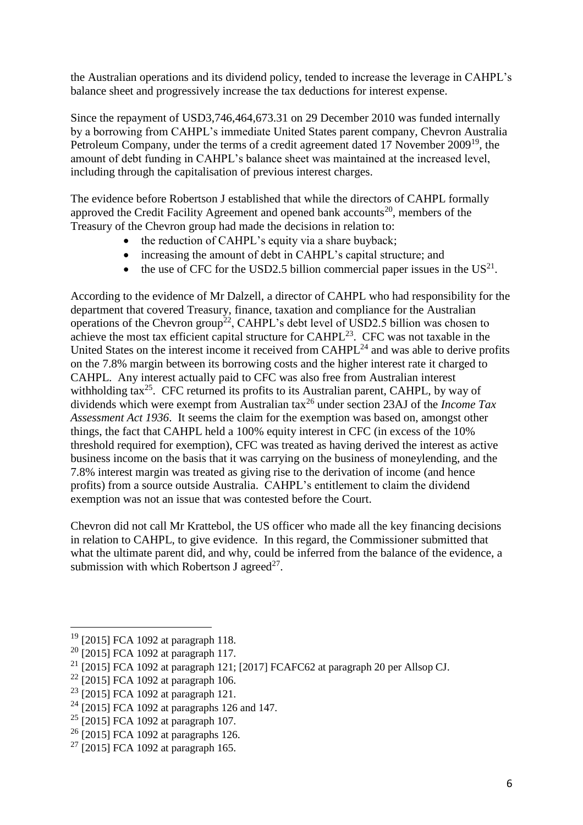the Australian operations and its dividend policy, tended to increase the leverage in CAHPL's balance sheet and progressively increase the tax deductions for interest expense.

Since the repayment of USD3,746,464,673.31 on 29 December 2010 was funded internally by a borrowing from CAHPL's immediate United States parent company, Chevron Australia Petroleum Company, under the terms of a credit agreement dated 17 November 2009<sup>19</sup>, the amount of debt funding in CAHPL's balance sheet was maintained at the increased level, including through the capitalisation of previous interest charges.

The evidence before Robertson J established that while the directors of CAHPL formally approved the Credit Facility Agreement and opened bank accounts<sup>20</sup>, members of the Treasury of the Chevron group had made the decisions in relation to:

- the reduction of CAHPL's equity via a share buyback;
- increasing the amount of debt in CAHPL's capital structure; and
- the use of CFC for the USD2.5 billion commercial paper issues in the  $US^{21}$ .

According to the evidence of Mr Dalzell, a director of CAHPL who had responsibility for the department that covered Treasury, finance, taxation and compliance for the Australian operations of the Chevron group<sup>22</sup>, CAHPL's debt level of USD2.5 billion was chosen to achieve the most tax efficient capital structure for CAHPL $^{23}$ . CFC was not taxable in the United States on the interest income it received from  $CAHPL<sup>24</sup>$  and was able to derive profits on the 7.8% margin between its borrowing costs and the higher interest rate it charged to CAHPL. Any interest actually paid to CFC was also free from Australian interest withholding tax<sup>25</sup>. CFC returned its profits to its Australian parent, CAHPL, by way of dividends which were exempt from Australian tax<sup>26</sup> under section 23AJ of the *Income Tax Assessment Act 1936*. It seems the claim for the exemption was based on, amongst other things, the fact that CAHPL held a 100% equity interest in CFC (in excess of the 10% threshold required for exemption), CFC was treated as having derived the interest as active business income on the basis that it was carrying on the business of moneylending, and the 7.8% interest margin was treated as giving rise to the derivation of income (and hence profits) from a source outside Australia. CAHPL's entitlement to claim the dividend exemption was not an issue that was contested before the Court.

Chevron did not call Mr Krattebol, the US officer who made all the key financing decisions in relation to CAHPL, to give evidence. In this regard, the Commissioner submitted that what the ultimate parent did, and why, could be inferred from the balance of the evidence, a submission with which Robertson J agreed<sup>27</sup>.

<sup>19</sup> [2015] FCA 1092 at paragraph 118.

<sup>20</sup> [2015] FCA 1092 at paragraph 117.

<sup>&</sup>lt;sup>21</sup> [2015] FCA 1092 at paragraph 121; [2017] FCAFC62 at paragraph 20 per Allsop CJ.

<sup>22</sup> [2015] FCA 1092 at paragraph 106.

<sup>23</sup> [2015] FCA 1092 at paragraph 121.

 $24$  [2015] FCA 1092 at paragraphs 126 and 147.

 $25$  [2015] FCA 1092 at paragraph 107.

 $26$  [2015] FCA 1092 at paragraphs 126.

 $27$  [2015] FCA 1092 at paragraph 165.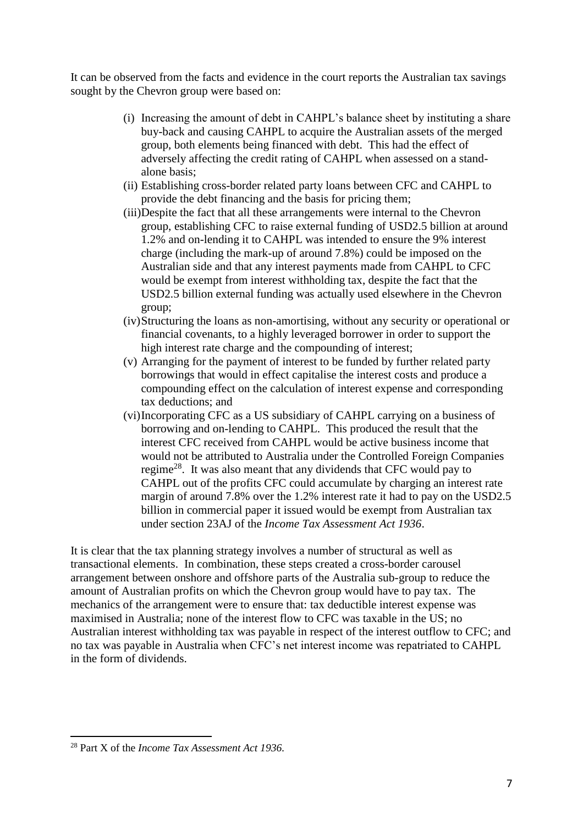It can be observed from the facts and evidence in the court reports the Australian tax savings sought by the Chevron group were based on:

- (i) Increasing the amount of debt in CAHPL's balance sheet by instituting a share buy-back and causing CAHPL to acquire the Australian assets of the merged group, both elements being financed with debt. This had the effect of adversely affecting the credit rating of CAHPL when assessed on a standalone basis;
- (ii) Establishing cross-border related party loans between CFC and CAHPL to provide the debt financing and the basis for pricing them;
- (iii)Despite the fact that all these arrangements were internal to the Chevron group, establishing CFC to raise external funding of USD2.5 billion at around 1.2% and on-lending it to CAHPL was intended to ensure the 9% interest charge (including the mark-up of around 7.8%) could be imposed on the Australian side and that any interest payments made from CAHPL to CFC would be exempt from interest withholding tax, despite the fact that the USD2.5 billion external funding was actually used elsewhere in the Chevron group;
- (iv)Structuring the loans as non-amortising, without any security or operational or financial covenants, to a highly leveraged borrower in order to support the high interest rate charge and the compounding of interest;
- (v) Arranging for the payment of interest to be funded by further related party borrowings that would in effect capitalise the interest costs and produce a compounding effect on the calculation of interest expense and corresponding tax deductions; and
- (vi)Incorporating CFC as a US subsidiary of CAHPL carrying on a business of borrowing and on-lending to CAHPL. This produced the result that the interest CFC received from CAHPL would be active business income that would not be attributed to Australia under the Controlled Foreign Companies regime<sup>28</sup>. It was also meant that any dividends that CFC would pay to CAHPL out of the profits CFC could accumulate by charging an interest rate margin of around 7.8% over the 1.2% interest rate it had to pay on the USD2.5 billion in commercial paper it issued would be exempt from Australian tax under section 23AJ of the *Income Tax Assessment Act 1936*.

It is clear that the tax planning strategy involves a number of structural as well as transactional elements. In combination, these steps created a cross-border carousel arrangement between onshore and offshore parts of the Australia sub-group to reduce the amount of Australian profits on which the Chevron group would have to pay tax. The mechanics of the arrangement were to ensure that: tax deductible interest expense was maximised in Australia; none of the interest flow to CFC was taxable in the US; no Australian interest withholding tax was payable in respect of the interest outflow to CFC; and no tax was payable in Australia when CFC's net interest income was repatriated to CAHPL in the form of dividends.

 $\overline{a}$ <sup>28</sup> Part X of the *Income Tax Assessment Act 1936.*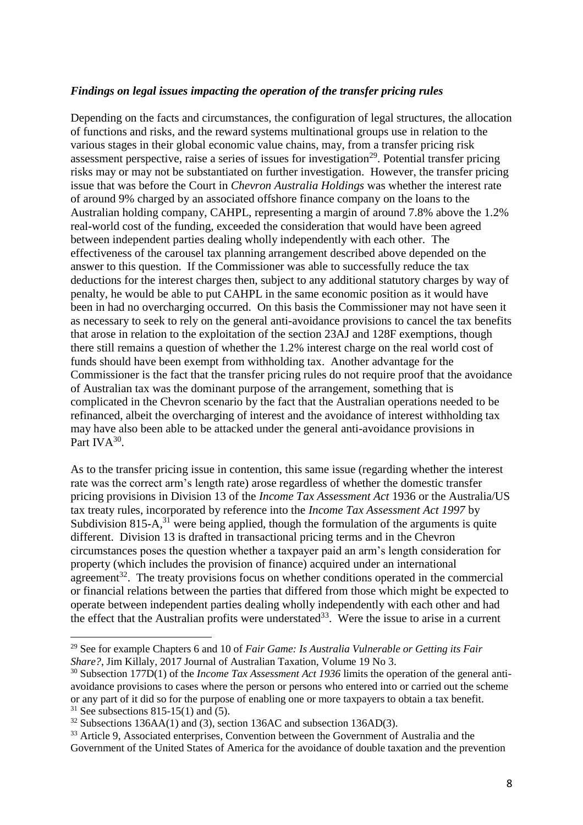#### *Findings on legal issues impacting the operation of the transfer pricing rules*

Depending on the facts and circumstances, the configuration of legal structures, the allocation of functions and risks, and the reward systems multinational groups use in relation to the various stages in their global economic value chains, may, from a transfer pricing risk assessment perspective, raise a series of issues for investigation<sup>29</sup>. Potential transfer pricing risks may or may not be substantiated on further investigation. However, the transfer pricing issue that was before the Court in *Chevron Australia Holdings* was whether the interest rate of around 9% charged by an associated offshore finance company on the loans to the Australian holding company, CAHPL, representing a margin of around 7.8% above the 1.2% real-world cost of the funding, exceeded the consideration that would have been agreed between independent parties dealing wholly independently with each other. The effectiveness of the carousel tax planning arrangement described above depended on the answer to this question. If the Commissioner was able to successfully reduce the tax deductions for the interest charges then, subject to any additional statutory charges by way of penalty, he would be able to put CAHPL in the same economic position as it would have been in had no overcharging occurred. On this basis the Commissioner may not have seen it as necessary to seek to rely on the general anti-avoidance provisions to cancel the tax benefits that arose in relation to the exploitation of the section 23AJ and 128F exemptions, though there still remains a question of whether the 1.2% interest charge on the real world cost of funds should have been exempt from withholding tax. Another advantage for the Commissioner is the fact that the transfer pricing rules do not require proof that the avoidance of Australian tax was the dominant purpose of the arrangement, something that is complicated in the Chevron scenario by the fact that the Australian operations needed to be refinanced, albeit the overcharging of interest and the avoidance of interest withholding tax may have also been able to be attacked under the general anti-avoidance provisions in Part IV $A^{30}$ .

As to the transfer pricing issue in contention, this same issue (regarding whether the interest rate was the correct arm's length rate) arose regardless of whether the domestic transfer pricing provisions in Division 13 of the *Income Tax Assessment Act* 1936 or the Australia/US tax treaty rules, incorporated by reference into the *Income Tax Assessment Act 1997* by Subdivision 815-A, $31$  were being applied, though the formulation of the arguments is quite different. Division 13 is drafted in transactional pricing terms and in the Chevron circumstances poses the question whether a taxpayer paid an arm's length consideration for property (which includes the provision of finance) acquired under an international agreement<sup>32</sup>. The treaty provisions focus on whether conditions operated in the commercial or financial relations between the parties that differed from those which might be expected to operate between independent parties dealing wholly independently with each other and had the effect that the Australian profits were understated<sup>33</sup>. Were the issue to arise in a current

l

<sup>29</sup> See for example Chapters 6 and 10 of *Fair Game: Is Australia Vulnerable or Getting its Fair Share?*, Jim Killaly, 2017 Journal of Australian Taxation, Volume 19 No 3.

<sup>30</sup> Subsection 177D(1) of the *Income Tax Assessment Act 1936* limits the operation of the general antiavoidance provisions to cases where the person or persons who entered into or carried out the scheme or any part of it did so for the purpose of enabling one or more taxpayers to obtain a tax benefit.  $31$  See subsections 815-15(1) and (5).

 $32$  Subsections 136AA(1) and (3), section 136AC and subsection 136AD(3).

<sup>&</sup>lt;sup>33</sup> Article 9, Associated enterprises, Convention between the Government of Australia and the Government of the United States of America for the avoidance of double taxation and the prevention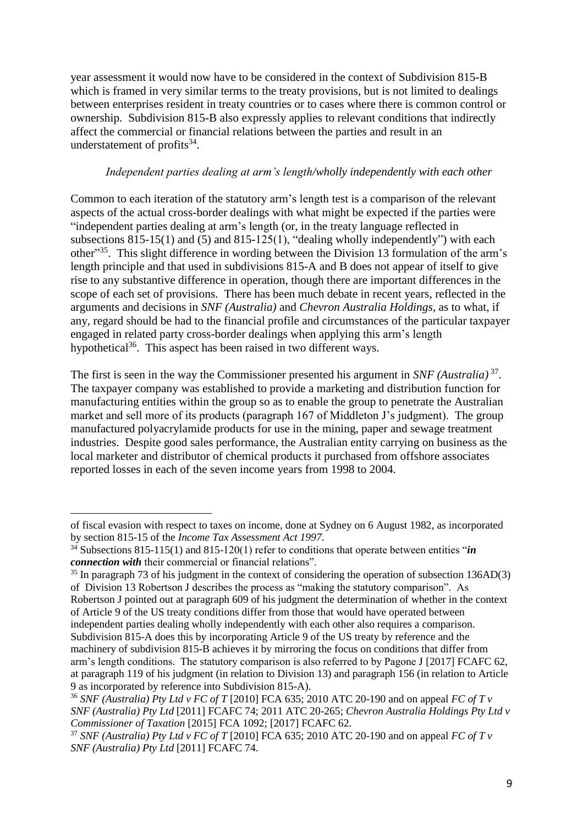year assessment it would now have to be considered in the context of Subdivision 815-B which is framed in very similar terms to the treaty provisions, but is not limited to dealings between enterprises resident in treaty countries or to cases where there is common control or ownership. Subdivision 815-B also expressly applies to relevant conditions that indirectly affect the commercial or financial relations between the parties and result in an understatement of profits<sup>34</sup>.

#### *Independent parties dealing at arm's length/wholly independently with each other*

Common to each iteration of the statutory arm's length test is a comparison of the relevant aspects of the actual cross-border dealings with what might be expected if the parties were "independent parties dealing at arm's length (or, in the treaty language reflected in subsections 815-15(1) and (5) and 815-125(1), "dealing wholly independently") with each other<sup>35</sup>. This slight difference in wording between the Division 13 formulation of the arm's length principle and that used in subdivisions 815-A and B does not appear of itself to give rise to any substantive difference in operation, though there are important differences in the scope of each set of provisions. There has been much debate in recent years, reflected in the arguments and decisions in *SNF (Australia)* and *Chevron Australia Holdings*, as to what, if any, regard should be had to the financial profile and circumstances of the particular taxpayer engaged in related party cross-border dealings when applying this arm's length hypothetical<sup>36</sup>. This aspect has been raised in two different ways.

The first is seen in the way the Commissioner presented his argument in *SNF (Australia)* <sup>37</sup> . The taxpayer company was established to provide a marketing and distribution function for manufacturing entities within the group so as to enable the group to penetrate the Australian market and sell more of its products (paragraph 167 of Middleton J's judgment). The group manufactured polyacrylamide products for use in the mining, paper and sewage treatment industries. Despite good sales performance, the Australian entity carrying on business as the local marketer and distributor of chemical products it purchased from offshore associates reported losses in each of the seven income years from 1998 to 2004.

l

of fiscal evasion with respect to taxes on income, done at Sydney on 6 August 1982, as incorporated by section 815-15 of the *Income Tax Assessment Act 1997*.

<sup>34</sup> Subsections 815-115(1) and 815-120(1) refer to conditions that operate between entities "*in connection with* their commercial or financial relations".

<sup>&</sup>lt;sup>35</sup> In paragraph 73 of his judgment in the context of considering the operation of subsection 136AD(3) of Division 13 Robertson J describes the process as "making the statutory comparison". As Robertson J pointed out at paragraph 609 of his judgment the determination of whether in the context of Article 9 of the US treaty conditions differ from those that would have operated between independent parties dealing wholly independently with each other also requires a comparison. Subdivision 815-A does this by incorporating Article 9 of the US treaty by reference and the machinery of subdivision 815-B achieves it by mirroring the focus on conditions that differ from arm's length conditions. The statutory comparison is also referred to by Pagone J [2017] FCAFC 62, at paragraph 119 of his judgment (in relation to Division 13) and paragraph 156 (in relation to Article 9 as incorporated by reference into Subdivision 815-A).

<sup>36</sup> *SNF (Australia) Pty Ltd v FC of T* [2010] FCA 635; 2010 ATC 20-190 and on appeal *FC of T v SNF (Australia) Pty Ltd* [2011] FCAFC 74; 2011 ATC 20-265; *Chevron Australia Holdings Pty Ltd v Commissioner of Taxation* [2015] FCA 1092; [2017] FCAFC 62.

<sup>37</sup> *SNF (Australia) Pty Ltd v FC of T* [2010] FCA 635; 2010 ATC 20-190 and on appeal *FC of T v SNF (Australia) Pty Ltd* [2011] FCAFC 74.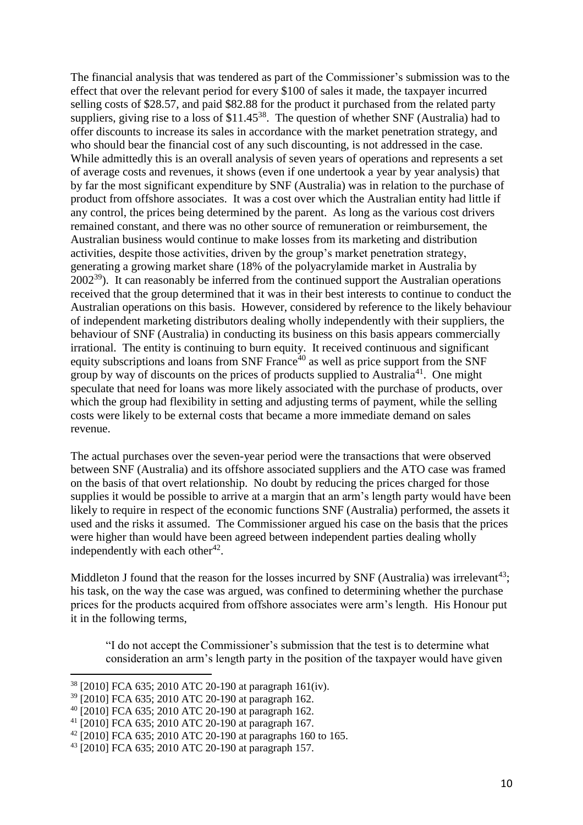The financial analysis that was tendered as part of the Commissioner's submission was to the effect that over the relevant period for every \$100 of sales it made, the taxpayer incurred selling costs of \$28.57, and paid \$82.88 for the product it purchased from the related party suppliers, giving rise to a loss of  $$11.45^{38}$ . The question of whether SNF (Australia) had to offer discounts to increase its sales in accordance with the market penetration strategy, and who should bear the financial cost of any such discounting, is not addressed in the case. While admittedly this is an overall analysis of seven years of operations and represents a set of average costs and revenues, it shows (even if one undertook a year by year analysis) that by far the most significant expenditure by SNF (Australia) was in relation to the purchase of product from offshore associates. It was a cost over which the Australian entity had little if any control, the prices being determined by the parent. As long as the various cost drivers remained constant, and there was no other source of remuneration or reimbursement, the Australian business would continue to make losses from its marketing and distribution activities, despite those activities, driven by the group's market penetration strategy, generating a growing market share (18% of the polyacrylamide market in Australia by  $2002^{39}$ ). It can reasonably be inferred from the continued support the Australian operations received that the group determined that it was in their best interests to continue to conduct the Australian operations on this basis. However, considered by reference to the likely behaviour of independent marketing distributors dealing wholly independently with their suppliers, the behaviour of SNF (Australia) in conducting its business on this basis appears commercially irrational. The entity is continuing to burn equity. It received continuous and significant equity subscriptions and loans from SNF France $40$  as well as price support from the SNF group by way of discounts on the prices of products supplied to Australia<sup>41</sup>. One might speculate that need for loans was more likely associated with the purchase of products, over which the group had flexibility in setting and adjusting terms of payment, while the selling costs were likely to be external costs that became a more immediate demand on sales revenue.

The actual purchases over the seven-year period were the transactions that were observed between SNF (Australia) and its offshore associated suppliers and the ATO case was framed on the basis of that overt relationship. No doubt by reducing the prices charged for those supplies it would be possible to arrive at a margin that an arm's length party would have been likely to require in respect of the economic functions SNF (Australia) performed, the assets it used and the risks it assumed. The Commissioner argued his case on the basis that the prices were higher than would have been agreed between independent parties dealing wholly independently with each other $42$ .

Middleton J found that the reason for the losses incurred by SNF (Australia) was irrelevant<sup>43</sup>; his task, on the way the case was argued, was confined to determining whether the purchase prices for the products acquired from offshore associates were arm's length. His Honour put it in the following terms,

"I do not accept the Commissioner's submission that the test is to determine what consideration an arm's length party in the position of the taxpayer would have given

<sup>38</sup> [2010] FCA 635; 2010 ATC 20-190 at paragraph 161(iv).

<sup>39</sup> [2010] FCA 635; 2010 ATC 20-190 at paragraph 162.

<sup>40</sup> [2010] FCA 635; 2010 ATC 20-190 at paragraph 162.

<sup>41</sup> [2010] FCA 635; 2010 ATC 20-190 at paragraph 167.

<sup>42</sup> [2010] FCA 635; 2010 ATC 20-190 at paragraphs 160 to 165.

<sup>43</sup> [2010] FCA 635; 2010 ATC 20-190 at paragraph 157.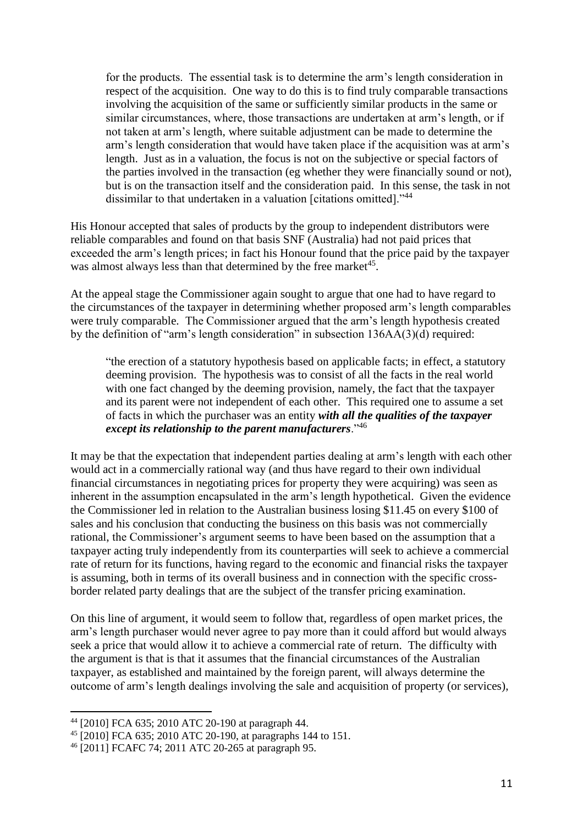for the products. The essential task is to determine the arm's length consideration in respect of the acquisition. One way to do this is to find truly comparable transactions involving the acquisition of the same or sufficiently similar products in the same or similar circumstances, where, those transactions are undertaken at arm's length, or if not taken at arm's length, where suitable adjustment can be made to determine the arm's length consideration that would have taken place if the acquisition was at arm's length. Just as in a valuation, the focus is not on the subjective or special factors of the parties involved in the transaction (eg whether they were financially sound or not), but is on the transaction itself and the consideration paid. In this sense, the task in not dissimilar to that undertaken in a valuation [citations omitted]."<sup>44</sup>

His Honour accepted that sales of products by the group to independent distributors were reliable comparables and found on that basis SNF (Australia) had not paid prices that exceeded the arm's length prices; in fact his Honour found that the price paid by the taxpayer was almost always less than that determined by the free market<sup>45</sup>.

At the appeal stage the Commissioner again sought to argue that one had to have regard to the circumstances of the taxpayer in determining whether proposed arm's length comparables were truly comparable. The Commissioner argued that the arm's length hypothesis created by the definition of "arm's length consideration" in subsection 136AA(3)(d) required:

"the erection of a statutory hypothesis based on applicable facts; in effect, a statutory deeming provision. The hypothesis was to consist of all the facts in the real world with one fact changed by the deeming provision, namely, the fact that the taxpayer and its parent were not independent of each other. This required one to assume a set of facts in which the purchaser was an entity *with all the qualities of the taxpayer except its relationship to the parent manufacturers*."<sup>46</sup>

It may be that the expectation that independent parties dealing at arm's length with each other would act in a commercially rational way (and thus have regard to their own individual financial circumstances in negotiating prices for property they were acquiring) was seen as inherent in the assumption encapsulated in the arm's length hypothetical. Given the evidence the Commissioner led in relation to the Australian business losing \$11.45 on every \$100 of sales and his conclusion that conducting the business on this basis was not commercially rational, the Commissioner's argument seems to have been based on the assumption that a taxpayer acting truly independently from its counterparties will seek to achieve a commercial rate of return for its functions, having regard to the economic and financial risks the taxpayer is assuming, both in terms of its overall business and in connection with the specific crossborder related party dealings that are the subject of the transfer pricing examination.

On this line of argument, it would seem to follow that, regardless of open market prices, the arm's length purchaser would never agree to pay more than it could afford but would always seek a price that would allow it to achieve a commercial rate of return. The difficulty with the argument is that is that it assumes that the financial circumstances of the Australian taxpayer, as established and maintained by the foreign parent, will always determine the outcome of arm's length dealings involving the sale and acquisition of property (or services),

<sup>44</sup> [2010] FCA 635; 2010 ATC 20-190 at paragraph 44.

<sup>45</sup> [2010] FCA 635; 2010 ATC 20-190, at paragraphs 144 to 151.

<sup>46</sup> [2011] FCAFC 74; 2011 ATC 20-265 at paragraph 95.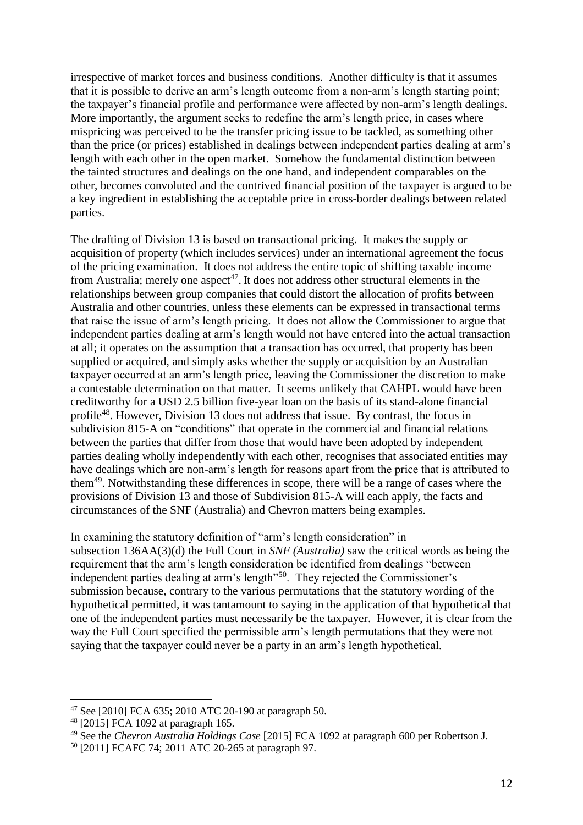irrespective of market forces and business conditions. Another difficulty is that it assumes that it is possible to derive an arm's length outcome from a non-arm's length starting point; the taxpayer's financial profile and performance were affected by non-arm's length dealings. More importantly, the argument seeks to redefine the arm's length price, in cases where mispricing was perceived to be the transfer pricing issue to be tackled, as something other than the price (or prices) established in dealings between independent parties dealing at arm's length with each other in the open market. Somehow the fundamental distinction between the tainted structures and dealings on the one hand, and independent comparables on the other, becomes convoluted and the contrived financial position of the taxpayer is argued to be a key ingredient in establishing the acceptable price in cross-border dealings between related parties.

The drafting of Division 13 is based on transactional pricing. It makes the supply or acquisition of property (which includes services) under an international agreement the focus of the pricing examination. It does not address the entire topic of shifting taxable income from Australia; merely one aspect<sup>47</sup>. It does not address other structural elements in the relationships between group companies that could distort the allocation of profits between Australia and other countries, unless these elements can be expressed in transactional terms that raise the issue of arm's length pricing. It does not allow the Commissioner to argue that independent parties dealing at arm's length would not have entered into the actual transaction at all; it operates on the assumption that a transaction has occurred, that property has been supplied or acquired, and simply asks whether the supply or acquisition by an Australian taxpayer occurred at an arm's length price, leaving the Commissioner the discretion to make a contestable determination on that matter. It seems unlikely that CAHPL would have been creditworthy for a USD 2.5 billion five-year loan on the basis of its stand-alone financial profile<sup>48</sup>. However, Division 13 does not address that issue. By contrast, the focus in subdivision 815-A on "conditions" that operate in the commercial and financial relations between the parties that differ from those that would have been adopted by independent parties dealing wholly independently with each other, recognises that associated entities may have dealings which are non-arm's length for reasons apart from the price that is attributed to them<sup>49</sup>. Notwithstanding these differences in scope, there will be a range of cases where the provisions of Division 13 and those of Subdivision 815-A will each apply, the facts and circumstances of the SNF (Australia) and Chevron matters being examples.

In examining the statutory definition of "arm's length consideration" in subsection 136AA(3)(d) the Full Court in *SNF (Australia)* saw the critical words as being the requirement that the arm's length consideration be identified from dealings "between independent parties dealing at arm's length"<sup>50</sup>. They rejected the Commissioner's submission because, contrary to the various permutations that the statutory wording of the hypothetical permitted, it was tantamount to saying in the application of that hypothetical that one of the independent parties must necessarily be the taxpayer. However, it is clear from the way the Full Court specified the permissible arm's length permutations that they were not saying that the taxpayer could never be a party in an arm's length hypothetical.

<sup>47</sup> See [2010] FCA 635; 2010 ATC 20-190 at paragraph 50.

<sup>48</sup> [2015] FCA 1092 at paragraph 165.

<sup>49</sup> See the *Chevron Australia Holdings Case* [2015] FCA 1092 at paragraph 600 per Robertson J.

<sup>50</sup> [2011] FCAFC 74; 2011 ATC 20-265 at paragraph 97.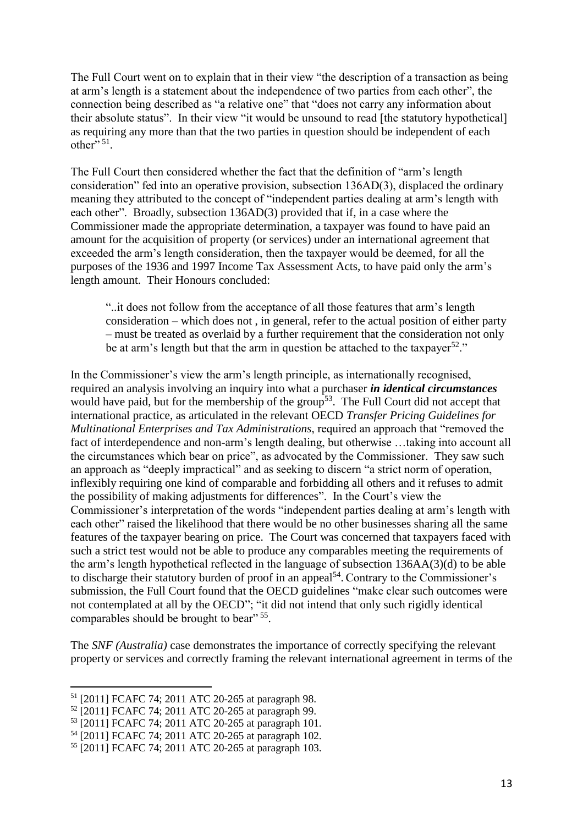The Full Court went on to explain that in their view "the description of a transaction as being at arm's length is a statement about the independence of two parties from each other", the connection being described as "a relative one" that "does not carry any information about their absolute status". In their view "it would be unsound to read [the statutory hypothetical] as requiring any more than that the two parties in question should be independent of each other"  $51$ .

The Full Court then considered whether the fact that the definition of "arm's length consideration" fed into an operative provision, subsection 136AD(3), displaced the ordinary meaning they attributed to the concept of "independent parties dealing at arm's length with each other". Broadly, subsection 136AD(3) provided that if, in a case where the Commissioner made the appropriate determination, a taxpayer was found to have paid an amount for the acquisition of property (or services) under an international agreement that exceeded the arm's length consideration, then the taxpayer would be deemed, for all the purposes of the 1936 and 1997 Income Tax Assessment Acts, to have paid only the arm's length amount. Their Honours concluded:

"..it does not follow from the acceptance of all those features that arm's length consideration – which does not , in general, refer to the actual position of either party – must be treated as overlaid by a further requirement that the consideration not only be at arm's length but that the arm in question be attached to the taxpayer<sup>52."</sup>

In the Commissioner's view the arm's length principle, as internationally recognised, required an analysis involving an inquiry into what a purchaser *in identical circumstances* would have paid, but for the membership of the group<sup>53</sup>. The Full Court did not accept that international practice, as articulated in the relevant OECD *Transfer Pricing Guidelines for Multinational Enterprises and Tax Administrations*, required an approach that "removed the fact of interdependence and non-arm's length dealing, but otherwise …taking into account all the circumstances which bear on price", as advocated by the Commissioner. They saw such an approach as "deeply impractical" and as seeking to discern "a strict norm of operation, inflexibly requiring one kind of comparable and forbidding all others and it refuses to admit the possibility of making adjustments for differences". In the Court's view the Commissioner's interpretation of the words "independent parties dealing at arm's length with each other" raised the likelihood that there would be no other businesses sharing all the same features of the taxpayer bearing on price. The Court was concerned that taxpayers faced with such a strict test would not be able to produce any comparables meeting the requirements of the arm's length hypothetical reflected in the language of subsection 136AA(3)(d) to be able to discharge their statutory burden of proof in an appeal<sup>54</sup>. Contrary to the Commissioner's submission, the Full Court found that the OECD guidelines "make clear such outcomes were not contemplated at all by the OECD"; "it did not intend that only such rigidly identical comparables should be brought to bear"<sup>55</sup>.

The *SNF (Australia)* case demonstrates the importance of correctly specifying the relevant property or services and correctly framing the relevant international agreement in terms of the

<sup>51</sup> [2011] FCAFC 74; 2011 ATC 20-265 at paragraph 98.

<sup>52</sup> [2011] FCAFC 74; 2011 ATC 20-265 at paragraph 99.

<sup>53</sup> [2011] FCAFC 74; 2011 ATC 20-265 at paragraph 101.

<sup>54</sup> [2011] FCAFC 74; 2011 ATC 20-265 at paragraph 102.

<sup>55</sup> [2011] FCAFC 74; 2011 ATC 20-265 at paragraph 103.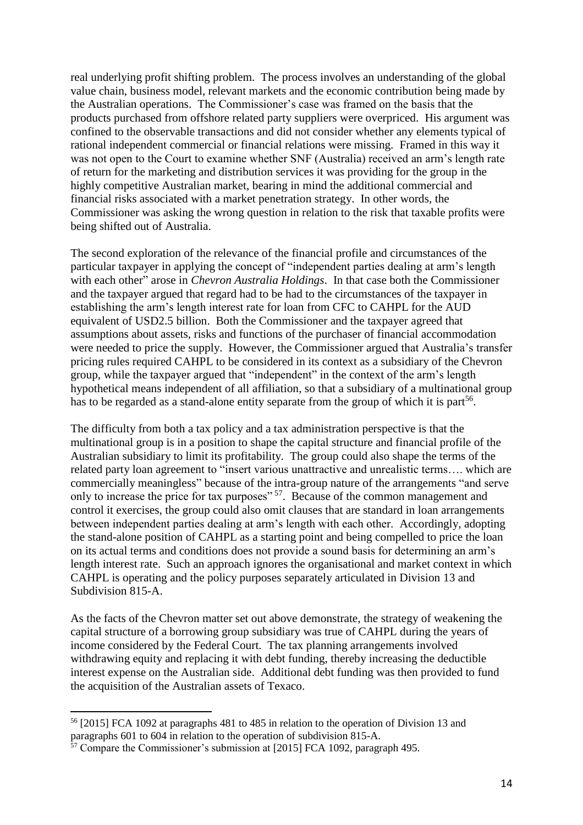real underlying profit shifting problem. The process involves an understanding of the global value chain, business model, relevant markets and the economic contribution being made by the Australian operations. The Commissioner's case was framed on the basis that the products purchased from offshore related party suppliers were overpriced. His argument was confined to the observable transactions and did not consider whether any elements typical of rational independent commercial or financial relations were missing. Framed in this way it was not open to the Court to examine whether SNF (Australia) received an arm's length rate of return for the marketing and distribution services it was providing for the group in the highly competitive Australian market, bearing in mind the additional commercial and financial risks associated with a market penetration strategy. In other words, the Commissioner was asking the wrong question in relation to the risk that taxable profits were being shifted out of Australia.

The second exploration of the relevance of the financial profile and circumstances of the particular taxpayer in applying the concept of "independent parties dealing at arm's length with each other" arose in *Chevron Australia Holdings*. In that case both the Commissioner and the taxpayer argued that regard had to be had to the circumstances of the taxpayer in establishing the arm's length interest rate for loan from CFC to CAHPL for the AUD equivalent of USD2.5 billion. Both the Commissioner and the taxpayer agreed that assumptions about assets, risks and functions of the purchaser of financial accommodation were needed to price the supply. However, the Commissioner argued that Australia's transfer pricing rules required CAHPL to be considered in its context as a subsidiary of the Chevron group, while the taxpayer argued that "independent" in the context of the arm's length hypothetical means independent of all affiliation, so that a subsidiary of a multinational group has to be regarded as a stand-alone entity separate from the group of which it is part<sup>56</sup>.

The difficulty from both a tax policy and a tax administration perspective is that the multinational group is in a position to shape the capital structure and financial profile of the Australian subsidiary to limit its profitability. The group could also shape the terms of the related party loan agreement to "insert various unattractive and unrealistic terms…. which are commercially meaningless" because of the intra-group nature of the arrangements "and serve only to increase the price for tax purposes"<sup>57</sup>. Because of the common management and control it exercises, the group could also omit clauses that are standard in loan arrangements between independent parties dealing at arm's length with each other. Accordingly, adopting the stand-alone position of CAHPL as a starting point and being compelled to price the loan on its actual terms and conditions does not provide a sound basis for determining an arm's length interest rate. Such an approach ignores the organisational and market context in which CAHPL is operating and the policy purposes separately articulated in Division 13 and Subdivision 815-A.

As the facts of the Chevron matter set out above demonstrate, the strategy of weakening the capital structure of a borrowing group subsidiary was true of CAHPL during the years of income considered by the Federal Court. The tax planning arrangements involved withdrawing equity and replacing it with debt funding, thereby increasing the deductible interest expense on the Australian side. Additional debt funding was then provided to fund the acquisition of the Australian assets of Texaco.

<sup>56</sup> [2015] FCA 1092 at paragraphs 481 to 485 in relation to the operation of Division 13 and paragraphs 601 to 604 in relation to the operation of subdivision 815-A.

 $\frac{57}{2}$  Compare the Commissioner's submission at [2015] FCA 1092, paragraph 495.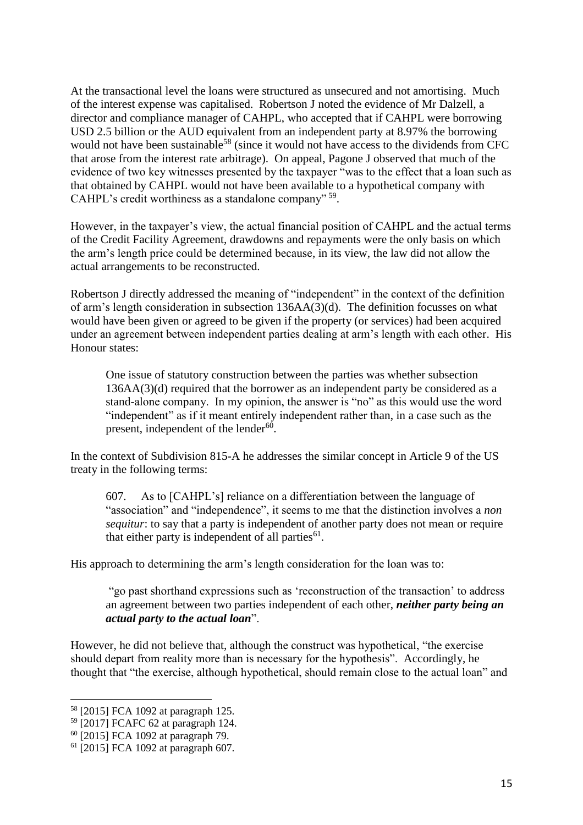At the transactional level the loans were structured as unsecured and not amortising. Much of the interest expense was capitalised. Robertson J noted the evidence of Mr Dalzell, a director and compliance manager of CAHPL, who accepted that if CAHPL were borrowing USD 2.5 billion or the AUD equivalent from an independent party at 8.97% the borrowing would not have been sustainable<sup>58</sup> (since it would not have access to the dividends from CFC that arose from the interest rate arbitrage). On appeal, Pagone J observed that much of the evidence of two key witnesses presented by the taxpayer "was to the effect that a loan such as that obtained by CAHPL would not have been available to a hypothetical company with CAHPL's credit worthiness as a standalone company" <sup>59</sup>.

However, in the taxpayer's view, the actual financial position of CAHPL and the actual terms of the Credit Facility Agreement, drawdowns and repayments were the only basis on which the arm's length price could be determined because, in its view, the law did not allow the actual arrangements to be reconstructed.

Robertson J directly addressed the meaning of "independent" in the context of the definition of arm's length consideration in subsection 136AA(3)(d). The definition focusses on what would have been given or agreed to be given if the property (or services) had been acquired under an agreement between independent parties dealing at arm's length with each other. His Honour states:

One issue of statutory construction between the parties was whether subsection 136AA(3)(d) required that the borrower as an independent party be considered as a stand-alone company. In my opinion, the answer is "no" as this would use the word "independent" as if it meant entirely independent rather than, in a case such as the present, independent of the lender<sup>60</sup>.

In the context of Subdivision 815-A he addresses the similar concept in Article 9 of the US treaty in the following terms:

607. As to [CAHPL's] reliance on a differentiation between the language of "association" and "independence", it seems to me that the distinction involves a *non sequitur*: to say that a party is independent of another party does not mean or require that either party is independent of all parties $<sup>61</sup>$ .</sup>

His approach to determining the arm's length consideration for the loan was to:

"go past shorthand expressions such as 'reconstruction of the transaction' to address an agreement between two parties independent of each other, *neither party being an actual party to the actual loan*".

However, he did not believe that, although the construct was hypothetical, "the exercise should depart from reality more than is necessary for the hypothesis". Accordingly, he thought that "the exercise, although hypothetical, should remain close to the actual loan" and

<sup>58</sup> [2015] FCA 1092 at paragraph 125.

<sup>59</sup> [2017] FCAFC 62 at paragraph 124.

<sup>60</sup> [2015] FCA 1092 at paragraph 79.

<sup>61</sup> [2015] FCA 1092 at paragraph 607.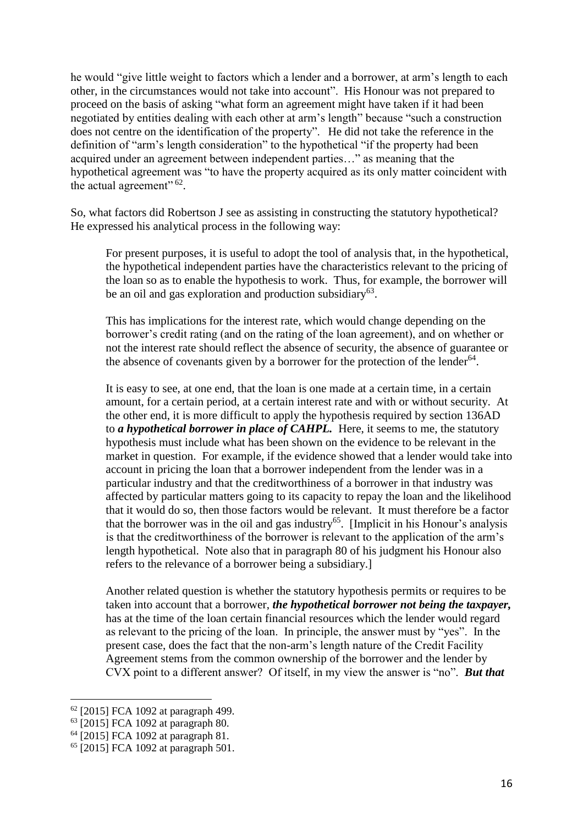he would "give little weight to factors which a lender and a borrower, at arm's length to each other, in the circumstances would not take into account". His Honour was not prepared to proceed on the basis of asking "what form an agreement might have taken if it had been negotiated by entities dealing with each other at arm's length" because "such a construction does not centre on the identification of the property". He did not take the reference in the definition of "arm's length consideration" to the hypothetical "if the property had been acquired under an agreement between independent parties…" as meaning that the hypothetical agreement was "to have the property acquired as its only matter coincident with the actual agreement"  $62$ .

So, what factors did Robertson J see as assisting in constructing the statutory hypothetical? He expressed his analytical process in the following way:

For present purposes, it is useful to adopt the tool of analysis that, in the hypothetical, the hypothetical independent parties have the characteristics relevant to the pricing of the loan so as to enable the hypothesis to work. Thus, for example, the borrower will be an oil and gas exploration and production subsidiary<sup>63</sup>.

This has implications for the interest rate, which would change depending on the borrower's credit rating (and on the rating of the loan agreement), and on whether or not the interest rate should reflect the absence of security, the absence of guarantee or the absence of covenants given by a borrower for the protection of the lender $64$ .

It is easy to see, at one end, that the loan is one made at a certain time, in a certain amount, for a certain period, at a certain interest rate and with or without security. At the other end, it is more difficult to apply the hypothesis required by section 136AD to *a hypothetical borrower in place of CAHPL.* Here, it seems to me, the statutory hypothesis must include what has been shown on the evidence to be relevant in the market in question. For example, if the evidence showed that a lender would take into account in pricing the loan that a borrower independent from the lender was in a particular industry and that the creditworthiness of a borrower in that industry was affected by particular matters going to its capacity to repay the loan and the likelihood that it would do so, then those factors would be relevant. It must therefore be a factor that the borrower was in the oil and gas industry<sup>65</sup>. [Implicit in his Honour's analysis is that the creditworthiness of the borrower is relevant to the application of the arm's length hypothetical. Note also that in paragraph 80 of his judgment his Honour also refers to the relevance of a borrower being a subsidiary.]

Another related question is whether the statutory hypothesis permits or requires to be taken into account that a borrower, *the hypothetical borrower not being the taxpayer,*  has at the time of the loan certain financial resources which the lender would regard as relevant to the pricing of the loan. In principle, the answer must by "yes". In the present case, does the fact that the non-arm's length nature of the Credit Facility Agreement stems from the common ownership of the borrower and the lender by CVX point to a different answer? Of itself, in my view the answer is "no". *But that* 

<sup>62</sup> [2015] FCA 1092 at paragraph 499.

<sup>63</sup> [2015] FCA 1092 at paragraph 80.

<sup>64</sup> [2015] FCA 1092 at paragraph 81.

<sup>65</sup> [2015] FCA 1092 at paragraph 501.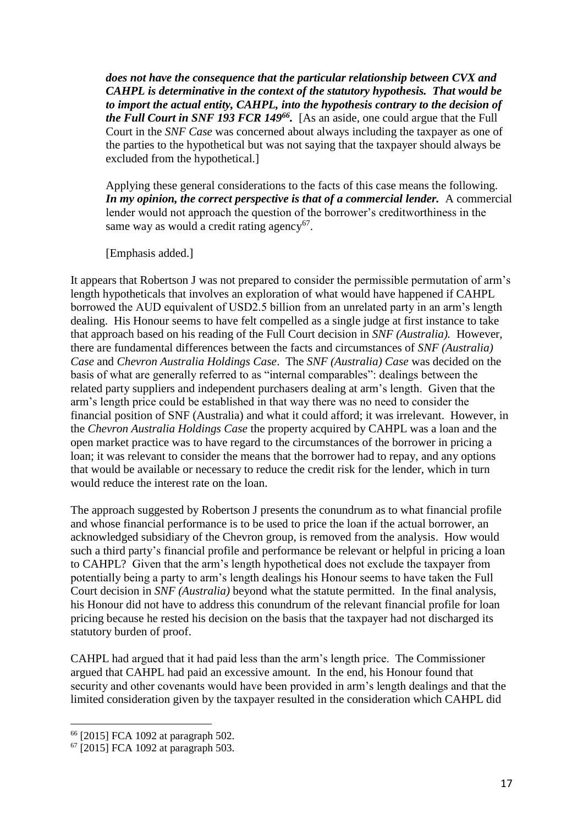*does not have the consequence that the particular relationship between CVX and CAHPL is determinative in the context of the statutory hypothesis. That would be to import the actual entity, CAHPL, into the hypothesis contrary to the decision of the Full Court in SNF 193 FCR 149<sup>66</sup> .*[As an aside, one could argue that the Full Court in the *SNF Case* was concerned about always including the taxpayer as one of the parties to the hypothetical but was not saying that the taxpayer should always be excluded from the hypothetical.]

Applying these general considerations to the facts of this case means the following. *In my opinion, the correct perspective is that of a commercial lender.* A commercial lender would not approach the question of the borrower's creditworthiness in the same way as would a credit rating agency<sup>67</sup>.

[Emphasis added.]

It appears that Robertson J was not prepared to consider the permissible permutation of arm's length hypotheticals that involves an exploration of what would have happened if CAHPL borrowed the AUD equivalent of USD2.5 billion from an unrelated party in an arm's length dealing. His Honour seems to have felt compelled as a single judge at first instance to take that approach based on his reading of the Full Court decision in *SNF (Australia).* However, there are fundamental differences between the facts and circumstances of *SNF (Australia) Case* and *Chevron Australia Holdings Case*. The *SNF (Australia) Case* was decided on the basis of what are generally referred to as "internal comparables": dealings between the related party suppliers and independent purchasers dealing at arm's length. Given that the arm's length price could be established in that way there was no need to consider the financial position of SNF (Australia) and what it could afford; it was irrelevant. However, in the *Chevron Australia Holdings Case* the property acquired by CAHPL was a loan and the open market practice was to have regard to the circumstances of the borrower in pricing a loan; it was relevant to consider the means that the borrower had to repay, and any options that would be available or necessary to reduce the credit risk for the lender, which in turn would reduce the interest rate on the loan.

The approach suggested by Robertson J presents the conundrum as to what financial profile and whose financial performance is to be used to price the loan if the actual borrower, an acknowledged subsidiary of the Chevron group, is removed from the analysis. How would such a third party's financial profile and performance be relevant or helpful in pricing a loan to CAHPL? Given that the arm's length hypothetical does not exclude the taxpayer from potentially being a party to arm's length dealings his Honour seems to have taken the Full Court decision in *SNF (Australia)* beyond what the statute permitted. In the final analysis, his Honour did not have to address this conundrum of the relevant financial profile for loan pricing because he rested his decision on the basis that the taxpayer had not discharged its statutory burden of proof.

CAHPL had argued that it had paid less than the arm's length price. The Commissioner argued that CAHPL had paid an excessive amount. In the end, his Honour found that security and other covenants would have been provided in arm's length dealings and that the limited consideration given by the taxpayer resulted in the consideration which CAHPL did

<sup>66</sup> [2015] FCA 1092 at paragraph 502.

<sup>67</sup> [2015] FCA 1092 at paragraph 503.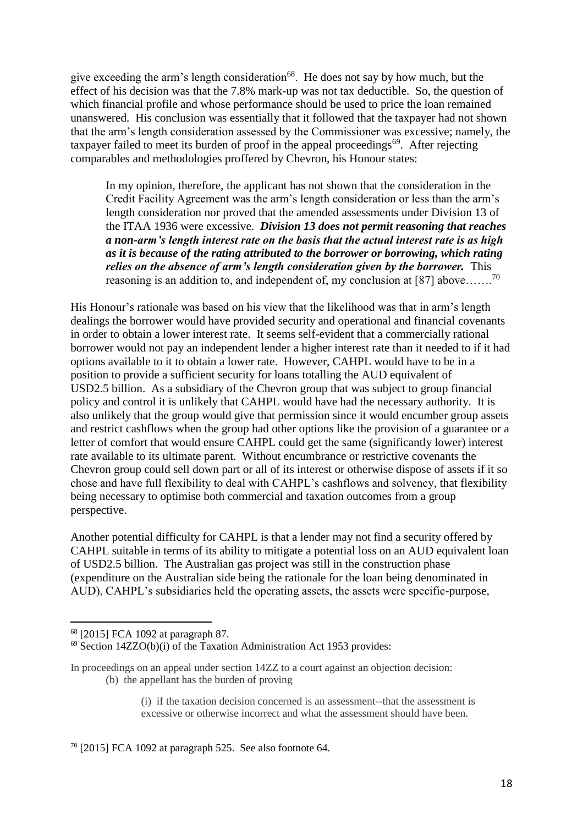give exceeding the arm's length consideration<sup>68</sup>. He does not say by how much, but the effect of his decision was that the 7.8% mark-up was not tax deductible. So, the question of which financial profile and whose performance should be used to price the loan remained unanswered. His conclusion was essentially that it followed that the taxpayer had not shown that the arm's length consideration assessed by the Commissioner was excessive; namely, the taxpayer failed to meet its burden of proof in the appeal proceedings<sup>69</sup>. After rejecting comparables and methodologies proffered by Chevron, his Honour states:

In my opinion, therefore, the applicant has not shown that the consideration in the Credit Facility Agreement was the arm's length consideration or less than the arm's length consideration nor proved that the amended assessments under Division 13 of the ITAA 1936 were excessive. *Division 13 does not permit reasoning that reaches a non-arm's length interest rate on the basis that the actual interest rate is as high as it is because of the rating attributed to the borrower or borrowing, which rating relies on the absence of arm's length consideration given by the borrower.* This reasoning is an addition to, and independent of, my conclusion at [87] above.......<sup>70</sup>

His Honour's rationale was based on his view that the likelihood was that in arm's length dealings the borrower would have provided security and operational and financial covenants in order to obtain a lower interest rate. It seems self-evident that a commercially rational borrower would not pay an independent lender a higher interest rate than it needed to if it had options available to it to obtain a lower rate. However, CAHPL would have to be in a position to provide a sufficient security for loans totalling the AUD equivalent of USD2.5 billion. As a subsidiary of the Chevron group that was subject to group financial policy and control it is unlikely that CAHPL would have had the necessary authority. It is also unlikely that the group would give that permission since it would encumber group assets and restrict cashflows when the group had other options like the provision of a guarantee or a letter of comfort that would ensure CAHPL could get the same (significantly lower) interest rate available to its ultimate parent. Without encumbrance or restrictive covenants the Chevron group could sell down part or all of its interest or otherwise dispose of assets if it so chose and have full flexibility to deal with CAHPL's cashflows and solvency, that flexibility being necessary to optimise both commercial and taxation outcomes from a group perspective.

Another potential difficulty for CAHPL is that a lender may not find a security offered by CAHPL suitable in terms of its ability to mitigate a potential loss on an AUD equivalent loan of USD2.5 billion. The Australian gas project was still in the construction phase (expenditure on the Australian side being the rationale for the loan being denominated in AUD), CAHPL's subsidiaries held the operating assets, the assets were specific-purpose,

l

<sup>68</sup> [2015] FCA 1092 at paragraph 87.

 $69$  Section 14ZZO(b)(i) of the Taxation Administration Act 1953 provides:

In proceedings on an appeal under section 14ZZ to a court against an objection decision: (b) the appellant has the burden of proving

<sup>(</sup>i) if the taxation decision concerned is an assessment--that the assessment is excessive or otherwise incorrect and what the assessment should have been.

 $70$  [2015] FCA 1092 at paragraph 525. See also footnote 64.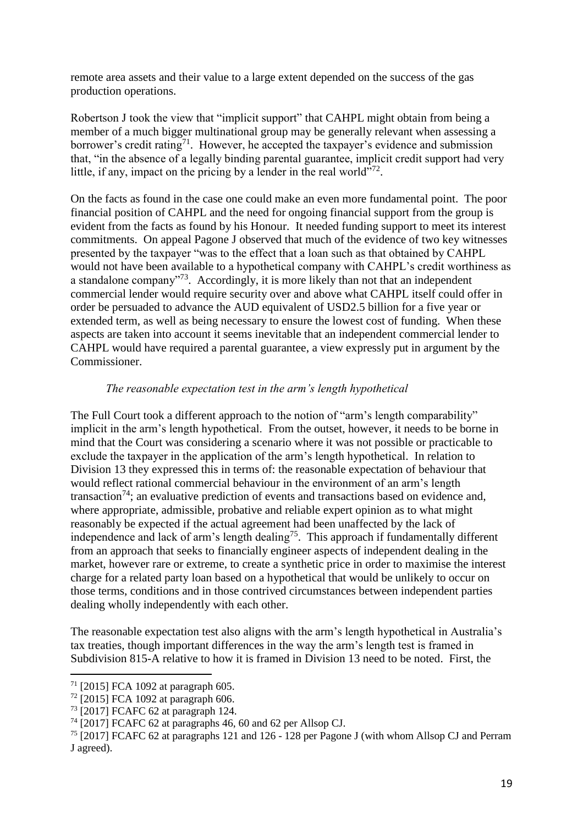remote area assets and their value to a large extent depended on the success of the gas production operations.

Robertson J took the view that "implicit support" that CAHPL might obtain from being a member of a much bigger multinational group may be generally relevant when assessing a borrower's credit rating<sup>71</sup>. However, he accepted the taxpayer's evidence and submission that, "in the absence of a legally binding parental guarantee, implicit credit support had very little, if any, impact on the pricing by a lender in the real world"<sup>72</sup>.

On the facts as found in the case one could make an even more fundamental point. The poor financial position of CAHPL and the need for ongoing financial support from the group is evident from the facts as found by his Honour. It needed funding support to meet its interest commitments. On appeal Pagone J observed that much of the evidence of two key witnesses presented by the taxpayer "was to the effect that a loan such as that obtained by CAHPL would not have been available to a hypothetical company with CAHPL's credit worthiness as a standalone company"<sup>73</sup>. Accordingly, it is more likely than not that an independent commercial lender would require security over and above what CAHPL itself could offer in order be persuaded to advance the AUD equivalent of USD2.5 billion for a five year or extended term, as well as being necessary to ensure the lowest cost of funding. When these aspects are taken into account it seems inevitable that an independent commercial lender to CAHPL would have required a parental guarantee, a view expressly put in argument by the Commissioner.

#### *The reasonable expectation test in the arm's length hypothetical*

The Full Court took a different approach to the notion of "arm's length comparability" implicit in the arm's length hypothetical. From the outset, however, it needs to be borne in mind that the Court was considering a scenario where it was not possible or practicable to exclude the taxpayer in the application of the arm's length hypothetical. In relation to Division 13 they expressed this in terms of: the reasonable expectation of behaviour that would reflect rational commercial behaviour in the environment of an arm's length transaction<sup>74</sup>; an evaluative prediction of events and transactions based on evidence and, where appropriate, admissible, probative and reliable expert opinion as to what might reasonably be expected if the actual agreement had been unaffected by the lack of independence and lack of arm's length dealing<sup>75</sup>. This approach if fundamentally different from an approach that seeks to financially engineer aspects of independent dealing in the market, however rare or extreme, to create a synthetic price in order to maximise the interest charge for a related party loan based on a hypothetical that would be unlikely to occur on those terms, conditions and in those contrived circumstances between independent parties dealing wholly independently with each other.

The reasonable expectation test also aligns with the arm's length hypothetical in Australia's tax treaties, though important differences in the way the arm's length test is framed in Subdivision 815-A relative to how it is framed in Division 13 need to be noted. First, the

<sup>71</sup> [2015] FCA 1092 at paragraph 605.

 $72$  [2015] FCA 1092 at paragraph 606.

<sup>73</sup> [2017] FCAFC 62 at paragraph 124.

<sup>74</sup> [2017] FCAFC 62 at paragraphs 46, 60 and 62 per Allsop CJ.

<sup>75</sup> [2017] FCAFC 62 at paragraphs 121 and 126 - 128 per Pagone J (with whom Allsop CJ and Perram J agreed).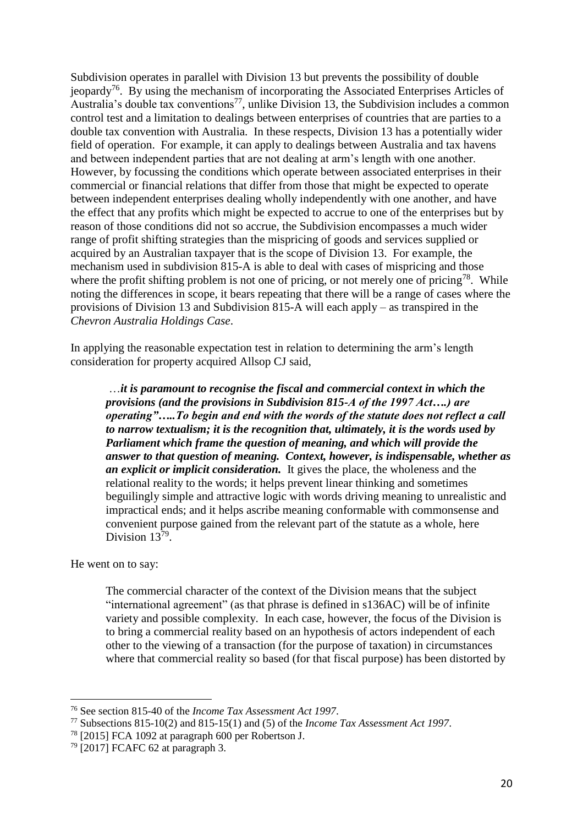Subdivision operates in parallel with Division 13 but prevents the possibility of double jeopardy<sup>76</sup>. By using the mechanism of incorporating the Associated Enterprises Articles of Australia's double tax conventions<sup>77</sup>, unlike Division 13, the Subdivision includes a common control test and a limitation to dealings between enterprises of countries that are parties to a double tax convention with Australia. In these respects, Division 13 has a potentially wider field of operation. For example, it can apply to dealings between Australia and tax havens and between independent parties that are not dealing at arm's length with one another. However, by focussing the conditions which operate between associated enterprises in their commercial or financial relations that differ from those that might be expected to operate between independent enterprises dealing wholly independently with one another, and have the effect that any profits which might be expected to accrue to one of the enterprises but by reason of those conditions did not so accrue, the Subdivision encompasses a much wider range of profit shifting strategies than the mispricing of goods and services supplied or acquired by an Australian taxpayer that is the scope of Division 13. For example, the mechanism used in subdivision 815-A is able to deal with cases of mispricing and those where the profit shifting problem is not one of pricing, or not merely one of pricing<sup>78</sup>. While noting the differences in scope, it bears repeating that there will be a range of cases where the provisions of Division 13 and Subdivision 815-A will each apply – as transpired in the *Chevron Australia Holdings Case*.

In applying the reasonable expectation test in relation to determining the arm's length consideration for property acquired Allsop CJ said,

…*it is paramount to recognise the fiscal and commercial context in which the provisions (and the provisions in Subdivision 815-A of the 1997 Act….) are operating"…..To begin and end with the words of the statute does not reflect a call to narrow textualism; it is the recognition that, ultimately, it is the words used by Parliament which frame the question of meaning, and which will provide the answer to that question of meaning. Context, however, is indispensable, whether as an explicit or implicit consideration.* It gives the place, the wholeness and the relational reality to the words; it helps prevent linear thinking and sometimes beguilingly simple and attractive logic with words driving meaning to unrealistic and impractical ends; and it helps ascribe meaning conformable with commonsense and convenient purpose gained from the relevant part of the statute as a whole, here Division  $13^{79}$ .

He went on to say:

 $\overline{a}$ 

The commercial character of the context of the Division means that the subject "international agreement" (as that phrase is defined in s136AC) will be of infinite variety and possible complexity. In each case, however, the focus of the Division is to bring a commercial reality based on an hypothesis of actors independent of each other to the viewing of a transaction (for the purpose of taxation) in circumstances where that commercial reality so based (for that fiscal purpose) has been distorted by

<sup>76</sup> See section 815-40 of the *Income Tax Assessment Act 1997*.

<sup>77</sup> Subsections 815-10(2) and 815-15(1) and (5) of the *Income Tax Assessment Act 1997*.

<sup>78</sup> [2015] FCA 1092 at paragraph 600 per Robertson J.

 $79$  [2017] FCAFC 62 at paragraph 3.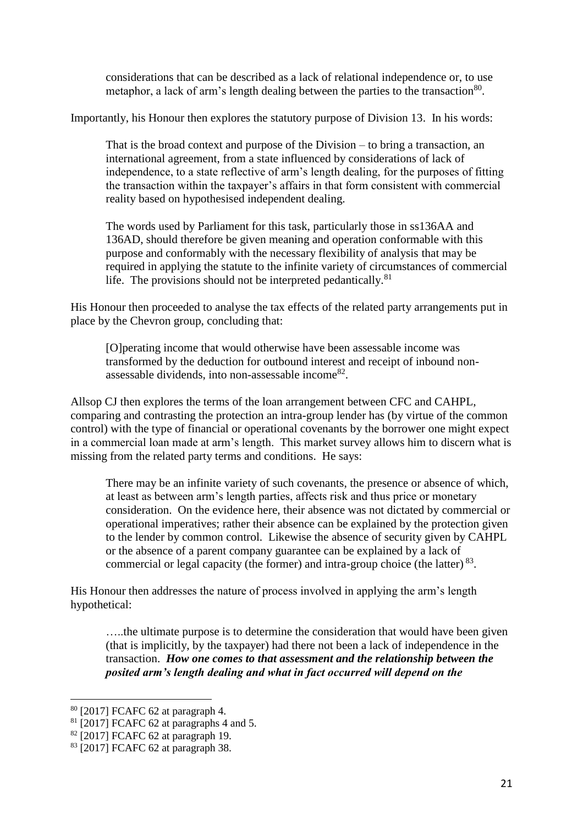considerations that can be described as a lack of relational independence or, to use metaphor, a lack of arm's length dealing between the parties to the transaction<sup>80</sup>.

Importantly, his Honour then explores the statutory purpose of Division 13. In his words:

That is the broad context and purpose of the Division – to bring a transaction, an international agreement, from a state influenced by considerations of lack of independence, to a state reflective of arm's length dealing, for the purposes of fitting the transaction within the taxpayer's affairs in that form consistent with commercial reality based on hypothesised independent dealing.

The words used by Parliament for this task, particularly those in ss136AA and 136AD, should therefore be given meaning and operation conformable with this purpose and conformably with the necessary flexibility of analysis that may be required in applying the statute to the infinite variety of circumstances of commercial life. The provisions should not be interpreted pedantically. $81$ 

His Honour then proceeded to analyse the tax effects of the related party arrangements put in place by the Chevron group, concluding that:

[O]perating income that would otherwise have been assessable income was transformed by the deduction for outbound interest and receipt of inbound nonassessable dividends, into non-assessable income <sup>82</sup>.

Allsop CJ then explores the terms of the loan arrangement between CFC and CAHPL, comparing and contrasting the protection an intra-group lender has (by virtue of the common control) with the type of financial or operational covenants by the borrower one might expect in a commercial loan made at arm's length. This market survey allows him to discern what is missing from the related party terms and conditions. He says:

There may be an infinite variety of such covenants, the presence or absence of which, at least as between arm's length parties, affects risk and thus price or monetary consideration. On the evidence here, their absence was not dictated by commercial or operational imperatives; rather their absence can be explained by the protection given to the lender by common control. Likewise the absence of security given by CAHPL or the absence of a parent company guarantee can be explained by a lack of commercial or legal capacity (the former) and intra-group choice (the latter)  $83$ .

His Honour then addresses the nature of process involved in applying the arm's length hypothetical:

…..the ultimate purpose is to determine the consideration that would have been given (that is implicitly, by the taxpayer) had there not been a lack of independence in the transaction. *How one comes to that assessment and the relationship between the posited arm's length dealing and what in fact occurred will depend on the* 

<sup>80</sup> [2017] FCAFC 62 at paragraph 4.

<sup>&</sup>lt;sup>81</sup> [2017] FCAFC 62 at paragraphs 4 and 5.

<sup>82</sup> [2017] FCAFC 62 at paragraph 19.

<sup>83</sup> [2017] FCAFC 62 at paragraph 38.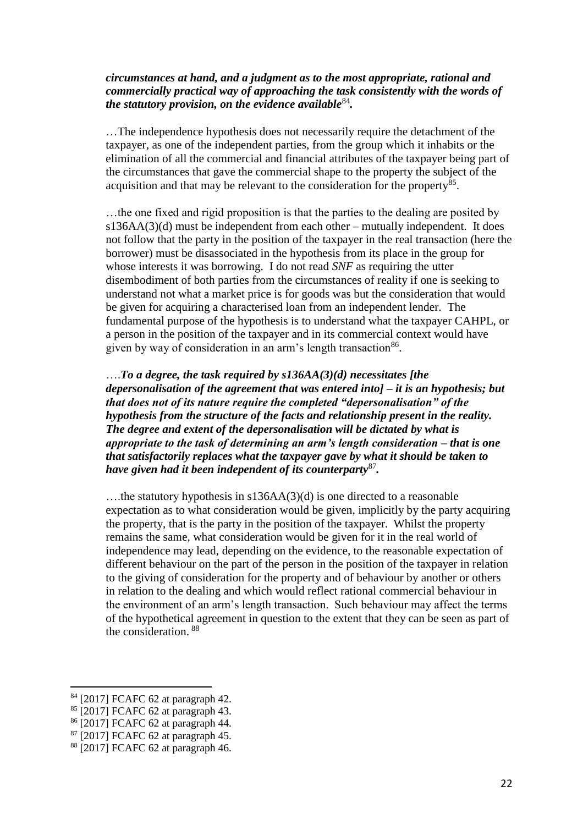#### *circumstances at hand, and a judgment as to the most appropriate, rational and commercially practical way of approaching the task consistently with the words of the statutory provision, on the evidence available*<sup>84</sup> *.*

…The independence hypothesis does not necessarily require the detachment of the taxpayer, as one of the independent parties, from the group which it inhabits or the elimination of all the commercial and financial attributes of the taxpayer being part of the circumstances that gave the commercial shape to the property the subject of the acquisition and that may be relevant to the consideration for the property<sup>85</sup>.

…the one fixed and rigid proposition is that the parties to the dealing are posited by s136AA(3)(d) must be independent from each other – mutually independent. It does not follow that the party in the position of the taxpayer in the real transaction (here the borrower) must be disassociated in the hypothesis from its place in the group for whose interests it was borrowing. I do not read *SNF* as requiring the utter disembodiment of both parties from the circumstances of reality if one is seeking to understand not what a market price is for goods was but the consideration that would be given for acquiring a characterised loan from an independent lender. The fundamental purpose of the hypothesis is to understand what the taxpayer CAHPL, or a person in the position of the taxpayer and in its commercial context would have given by way of consideration in an arm's length transaction<sup>86</sup>.

….*To a degree, the task required by s136AA(3)(d) necessitates [the depersonalisation of the agreement that was entered into] – it is an hypothesis; but that does not of its nature require the completed "depersonalisation" of the hypothesis from the structure of the facts and relationship present in the reality. The degree and extent of the depersonalisation will be dictated by what is appropriate to the task of determining an arm's length consideration – that is one that satisfactorily replaces what the taxpayer gave by what it should be taken to have given had it been independent of its counterparty*<sup>87</sup> *.*

….the statutory hypothesis in s136AA(3)(d) is one directed to a reasonable expectation as to what consideration would be given, implicitly by the party acquiring the property, that is the party in the position of the taxpayer. Whilst the property remains the same, what consideration would be given for it in the real world of independence may lead, depending on the evidence, to the reasonable expectation of different behaviour on the part of the person in the position of the taxpayer in relation to the giving of consideration for the property and of behaviour by another or others in relation to the dealing and which would reflect rational commercial behaviour in the environment of an arm's length transaction. Such behaviour may affect the terms of the hypothetical agreement in question to the extent that they can be seen as part of the consideration. <sup>88</sup>

<sup>84</sup> [2017] FCAFC 62 at paragraph 42.

<sup>85</sup> [2017] FCAFC 62 at paragraph 43.

<sup>86</sup> [2017] FCAFC 62 at paragraph 44.

<sup>87</sup> [2017] FCAFC 62 at paragraph 45.

<sup>88</sup> [2017] FCAFC 62 at paragraph 46.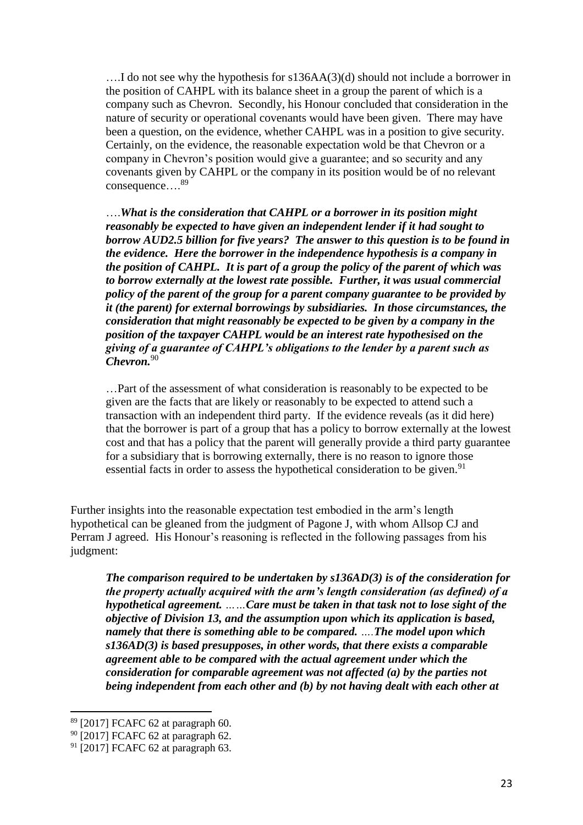….I do not see why the hypothesis for s136AA(3)(d) should not include a borrower in the position of CAHPL with its balance sheet in a group the parent of which is a company such as Chevron. Secondly, his Honour concluded that consideration in the nature of security or operational covenants would have been given. There may have been a question, on the evidence, whether CAHPL was in a position to give security. Certainly, on the evidence, the reasonable expectation wold be that Chevron or a company in Chevron's position would give a guarantee; and so security and any covenants given by CAHPL or the company in its position would be of no relevant consequence…. 89

….*What is the consideration that CAHPL or a borrower in its position might reasonably be expected to have given an independent lender if it had sought to borrow AUD2.5 billion for five years? The answer to this question is to be found in the evidence. Here the borrower in the independence hypothesis is a company in the position of CAHPL. It is part of a group the policy of the parent of which was to borrow externally at the lowest rate possible. Further, it was usual commercial policy of the parent of the group for a parent company guarantee to be provided by it (the parent) for external borrowings by subsidiaries. In those circumstances, the consideration that might reasonably be expected to be given by a company in the position of the taxpayer CAHPL would be an interest rate hypothesised on the giving of a guarantee of CAHPL's obligations to the lender by a parent such as Chevron.*<sup>90</sup>

…Part of the assessment of what consideration is reasonably to be expected to be given are the facts that are likely or reasonably to be expected to attend such a transaction with an independent third party. If the evidence reveals (as it did here) that the borrower is part of a group that has a policy to borrow externally at the lowest cost and that has a policy that the parent will generally provide a third party guarantee for a subsidiary that is borrowing externally, there is no reason to ignore those essential facts in order to assess the hypothetical consideration to be given.<sup>91</sup>

Further insights into the reasonable expectation test embodied in the arm's length hypothetical can be gleaned from the judgment of Pagone J, with whom Allsop CJ and Perram J agreed. His Honour's reasoning is reflected in the following passages from his judgment:

*The comparison required to be undertaken by s136AD(3) is of the consideration for the property actually acquired with the arm's length consideration (as defined) of a hypothetical agreement. ……Care must be taken in that task not to lose sight of the objective of Division 13, and the assumption upon which its application is based, namely that there is something able to be compared. ….The model upon which s136AD(3) is based presupposes, in other words, that there exists a comparable agreement able to be compared with the actual agreement under which the consideration for comparable agreement was not affected (a) by the parties not being independent from each other and (b) by not having dealt with each other at* 

<sup>89</sup> [2017] FCAFC 62 at paragraph 60.

<sup>&</sup>lt;sup>90</sup> [2017] FCAFC 62 at paragraph 62.

 $91$  [2017] FCAFC 62 at paragraph 63.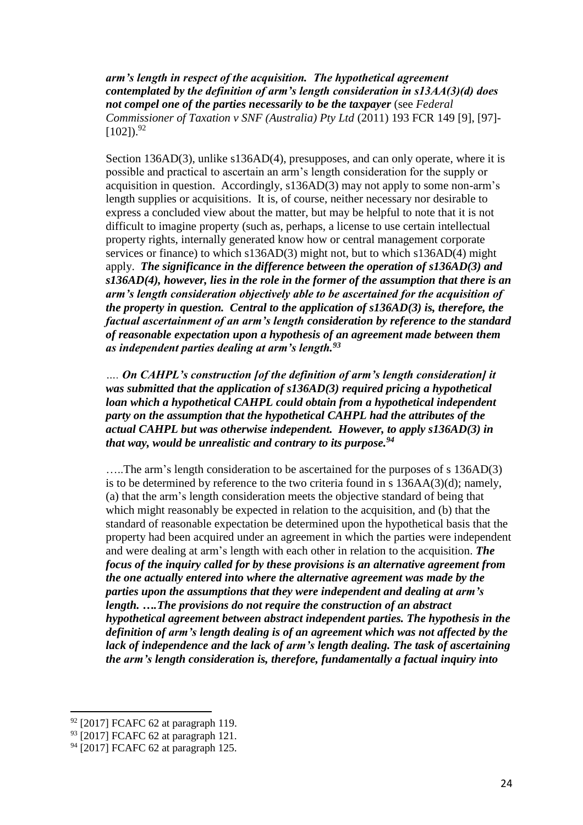*arm's length in respect of the acquisition. The hypothetical agreement contemplated by the definition of arm's length consideration in s13AA(3)(d) does not compel one of the parties necessarily to be the taxpayer* (see *Federal Commissioner of Taxation v SNF (Australia) Pty Ltd* (2011) 193 FCR 149 [9], [97]-  $[102]$ ).<sup>92</sup>

Section 136AD(3), unlike s136AD(4), presupposes, and can only operate, where it is possible and practical to ascertain an arm's length consideration for the supply or acquisition in question. Accordingly, s136AD(3) may not apply to some non-arm's length supplies or acquisitions. It is, of course, neither necessary nor desirable to express a concluded view about the matter, but may be helpful to note that it is not difficult to imagine property (such as, perhaps, a license to use certain intellectual property rights, internally generated know how or central management corporate services or finance) to which s136AD(3) might not, but to which s136AD(4) might apply. *The significance in the difference between the operation of s136AD(3) and s136AD(4), however, lies in the role in the former of the assumption that there is an arm's length consideration objectively able to be ascertained for the acquisition of the property in question. Central to the application of s136AD(3) is, therefore, the factual ascertainment of an arm's length consideration by reference to the standard of reasonable expectation upon a hypothesis of an agreement made between them as independent parties dealing at arm's length.<sup>93</sup>*

*…. On CAHPL's construction [of the definition of arm's length consideration] it was submitted that the application of s136AD(3) required pricing a hypothetical loan which a hypothetical CAHPL could obtain from a hypothetical independent party on the assumption that the hypothetical CAHPL had the attributes of the actual CAHPL but was otherwise independent. However, to apply s136AD(3) in that way, would be unrealistic and contrary to its purpose.<sup>94</sup>*

…..The arm's length consideration to be ascertained for the purposes of s 136AD(3) is to be determined by reference to the two criteria found in s  $136AA(3)(d)$ ; namely, (a) that the arm's length consideration meets the objective standard of being that which might reasonably be expected in relation to the acquisition, and (b) that the standard of reasonable expectation be determined upon the hypothetical basis that the property had been acquired under an agreement in which the parties were independent and were dealing at arm's length with each other in relation to the acquisition. *The focus of the inquiry called for by these provisions is an alternative agreement from the one actually entered into where the alternative agreement was made by the parties upon the assumptions that they were independent and dealing at arm's length. ….The provisions do not require the construction of an abstract hypothetical agreement between abstract independent parties. The hypothesis in the definition of arm's length dealing is of an agreement which was not affected by the lack of independence and the lack of arm's length dealing. The task of ascertaining the arm's length consideration is, therefore, fundamentally a factual inquiry into*

<sup>92</sup> [2017] FCAFC 62 at paragraph 119.

<sup>93</sup> [2017] FCAFC 62 at paragraph 121.

<sup>&</sup>lt;sup>94</sup> [2017] FCAFC 62 at paragraph 125.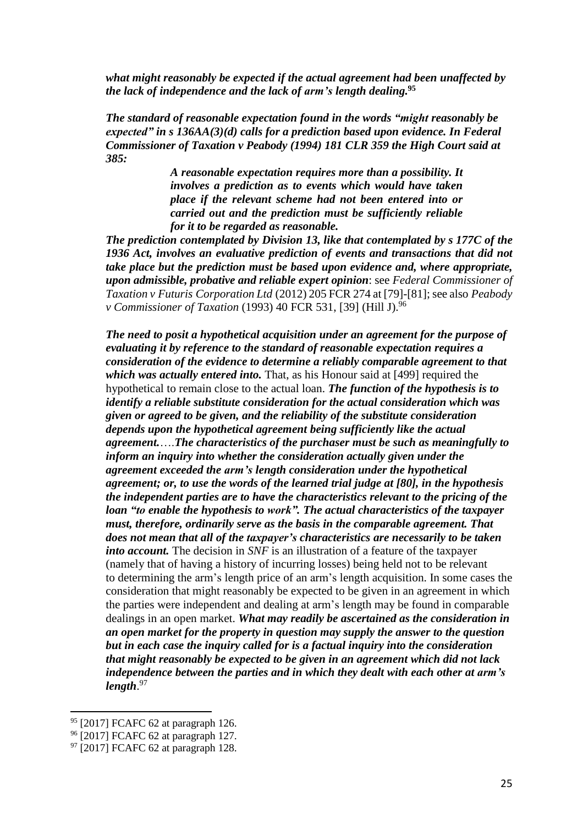*what might reasonably be expected if the actual agreement had been unaffected by the lack of independence and the lack of arm's length dealing.***<sup>95</sup>**

*The standard of reasonable expectation found in the words "might reasonably be expected" in s 136AA(3)(d) calls for a prediction based upon evidence. In Federal Commissioner of Taxation v Peabody (1994) 181 CLR 359 the High Court said at 385:*

> *A reasonable expectation requires more than a possibility. It involves a prediction as to events which would have taken place if the relevant scheme had not been entered into or carried out and the prediction must be sufficiently reliable for it to be regarded as reasonable.*

*The prediction contemplated by Division 13, like that contemplated by s 177C of the 1936 Act, involves an evaluative prediction of events and transactions that did not take place but the prediction must be based upon evidence and, where appropriate, upon admissible, probative and reliable expert opinion*: see *Federal Commissioner of Taxation v Futuris Corporation Ltd* (2012) 205 FCR 274 at [79]-[81]; see also *Peabody v Commissioner of Taxation* (1993) 40 FCR 531, [39] (Hill J).<sup>96</sup>

*The need to posit a hypothetical acquisition under an agreement for the purpose of evaluating it by reference to the standard of reasonable expectation requires a consideration of the evidence to determine a reliably comparable agreement to that which was actually entered into.* That, as his Honour said at [499] required the hypothetical to remain close to the actual loan. *The function of the hypothesis is to identify a reliable substitute consideration for the actual consideration which was given or agreed to be given, and the reliability of the substitute consideration depends upon the hypothetical agreement being sufficiently like the actual agreement.*….*The characteristics of the purchaser must be such as meaningfully to inform an inquiry into whether the consideration actually given under the agreement exceeded the arm's length consideration under the hypothetical agreement; or, to use the words of the learned trial judge at [80], in the hypothesis the independent parties are to have the characteristics relevant to the pricing of the loan "to enable the hypothesis to work". The actual characteristics of the taxpayer must, therefore, ordinarily serve as the basis in the comparable agreement. That does not mean that all of the taxpayer's characteristics are necessarily to be taken into account.* The decision in *SNF* is an illustration of a feature of the taxpayer (namely that of having a history of incurring losses) being held not to be relevant to determining the arm's length price of an arm's length acquisition. In some cases the consideration that might reasonably be expected to be given in an agreement in which the parties were independent and dealing at arm's length may be found in comparable dealings in an open market. *What may readily be ascertained as the consideration in an open market for the property in question may supply the answer to the question but in each case the inquiry called for is a factual inquiry into the consideration that might reasonably be expected to be given in an agreement which did not lack independence between the parties and in which they dealt with each other at arm's length*. 97

<sup>95 [2017]</sup> FCAFC 62 at paragraph 126.

<sup>96</sup> [2017] FCAFC 62 at paragraph 127.

 $97$  [2017] FCAFC 62 at paragraph 128.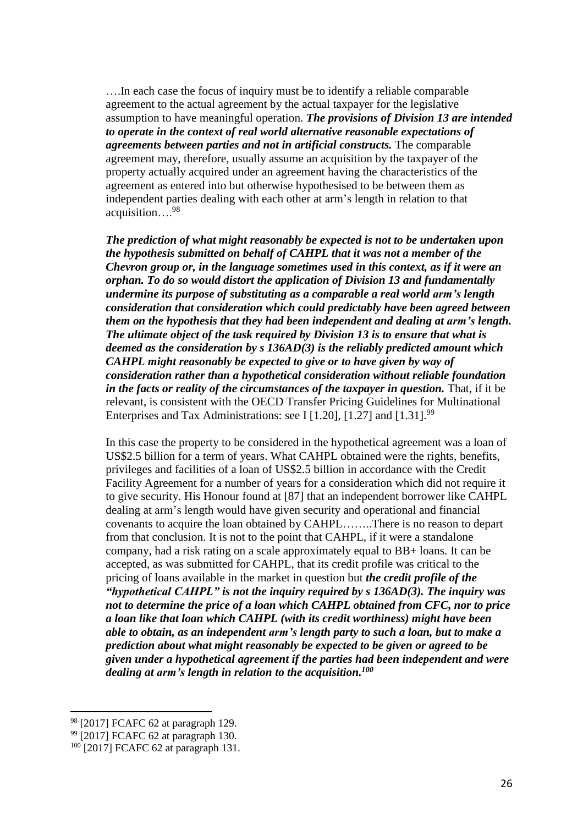….In each case the focus of inquiry must be to identify a reliable comparable agreement to the actual agreement by the actual taxpayer for the legislative assumption to have meaningful operation. *The provisions of Division 13 are intended to operate in the context of real world alternative reasonable expectations of agreements between parties and not in artificial constructs.* The comparable agreement may, therefore, usually assume an acquisition by the taxpayer of the property actually acquired under an agreement having the characteristics of the agreement as entered into but otherwise hypothesised to be between them as independent parties dealing with each other at arm's length in relation to that acquisition…. 98

*The prediction of what might reasonably be expected is not to be undertaken upon the hypothesis submitted on behalf of CAHPL that it was not a member of the Chevron group or, in the language sometimes used in this context, as if it were an orphan. To do so would distort the application of Division 13 and fundamentally undermine its purpose of substituting as a comparable a real world arm's length consideration that consideration which could predictably have been agreed between them on the hypothesis that they had been independent and dealing at arm's length. The ultimate object of the task required by Division 13 is to ensure that what is deemed as the consideration by s 136AD(3) is the reliably predicted amount which CAHPL might reasonably be expected to give or to have given by way of consideration rather than a hypothetical consideration without reliable foundation in the facts or reality of the circumstances of the taxpayer in question.* That, if it be relevant, is consistent with the OECD Transfer Pricing Guidelines for Multinational Enterprises and Tax Administrations: see I [1.20], [1.27] and  $[1.31]$ .<sup>99</sup>

In this case the property to be considered in the hypothetical agreement was a loan of US\$2.5 billion for a term of years. What CAHPL obtained were the rights, benefits, privileges and facilities of a loan of US\$2.5 billion in accordance with the Credit Facility Agreement for a number of years for a consideration which did not require it to give security. His Honour found at [87] that an independent borrower like CAHPL dealing at arm's length would have given security and operational and financial covenants to acquire the loan obtained by CAHPL……..There is no reason to depart from that conclusion. It is not to the point that CAHPL, if it were a standalone company, had a risk rating on a scale approximately equal to BB+ loans. It can be accepted, as was submitted for CAHPL, that its credit profile was critical to the pricing of loans available in the market in question but *the credit profile of the "hypothetical CAHPL" is not the inquiry required by s 136AD(3). The inquiry was not to determine the price of a loan which CAHPL obtained from CFC, nor to price a loan like that loan which CAHPL (with its credit worthiness) might have been able to obtain, as an independent arm's length party to such a loan, but to make a prediction about what might reasonably be expected to be given or agreed to be given under a hypothetical agreement if the parties had been independent and were dealing at arm's length in relation to the acquisition.<sup>100</sup>*

<sup>98</sup> [2017] FCAFC 62 at paragraph 129.

<sup>&</sup>lt;sup>99</sup> [2017] FCAFC 62 at paragraph 130.

 $100$  [2017] FCAFC 62 at paragraph 131.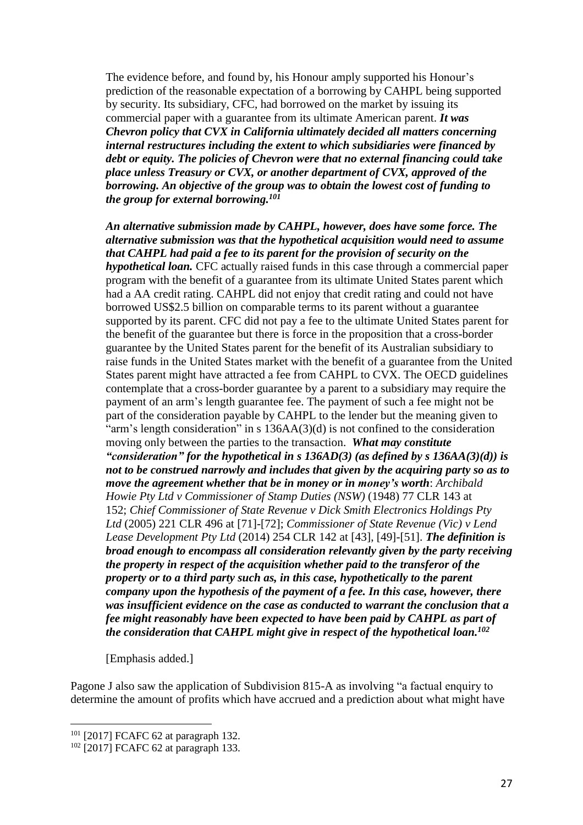The evidence before, and found by, his Honour amply supported his Honour's prediction of the reasonable expectation of a borrowing by CAHPL being supported by security. Its subsidiary, CFC, had borrowed on the market by issuing its commercial paper with a guarantee from its ultimate American parent. *It was Chevron policy that CVX in California ultimately decided all matters concerning internal restructures including the extent to which subsidiaries were financed by debt or equity. The policies of Chevron were that no external financing could take place unless Treasury or CVX, or another department of CVX, approved of the borrowing. An objective of the group was to obtain the lowest cost of funding to the group for external borrowing.<sup>101</sup>*

*An alternative submission made by CAHPL, however, does have some force. The alternative submission was that the hypothetical acquisition would need to assume that CAHPL had paid a fee to its parent for the provision of security on the hypothetical loan.* CFC actually raised funds in this case through a commercial paper program with the benefit of a guarantee from its ultimate United States parent which had a AA credit rating. CAHPL did not enjoy that credit rating and could not have borrowed US\$2.5 billion on comparable terms to its parent without a guarantee supported by its parent. CFC did not pay a fee to the ultimate United States parent for the benefit of the guarantee but there is force in the proposition that a cross-border guarantee by the United States parent for the benefit of its Australian subsidiary to raise funds in the United States market with the benefit of a guarantee from the United States parent might have attracted a fee from CAHPL to CVX. The OECD guidelines contemplate that a cross-border guarantee by a parent to a subsidiary may require the payment of an arm's length guarantee fee. The payment of such a fee might not be part of the consideration payable by CAHPL to the lender but the meaning given to "arm's length consideration" in s 136AA(3)(d) is not confined to the consideration moving only between the parties to the transaction. *What may constitute "consideration" for the hypothetical in s 136AD(3) (as defined by s 136AA(3)(d)) is not to be construed narrowly and includes that given by the acquiring party so as to move the agreement whether that be in money or in money's worth*: *Archibald Howie Pty Ltd v Commissioner of Stamp Duties (NSW)* (1948) 77 CLR 143 at 152; *Chief Commissioner of State Revenue v Dick Smith Electronics Holdings Pty Ltd* (2005) 221 CLR 496 at [71]-[72]; *Commissioner of State Revenue (Vic) v Lend Lease Development Pty Ltd* (2014) 254 CLR 142 at [43], [49]-[51]. *The definition is broad enough to encompass all consideration relevantly given by the party receiving the property in respect of the acquisition whether paid to the transferor of the property or to a third party such as, in this case, hypothetically to the parent company upon the hypothesis of the payment of a fee. In this case, however, there was insufficient evidence on the case as conducted to warrant the conclusion that a fee might reasonably have been expected to have been paid by CAHPL as part of the consideration that CAHPL might give in respect of the hypothetical loan.<sup>102</sup>*

[Emphasis added.]

Pagone J also saw the application of Subdivision 815-A as involving "a factual enquiry to determine the amount of profits which have accrued and a prediction about what might have

<sup>&</sup>lt;sup>101</sup> [2017] FCAFC 62 at paragraph 132.

 $102$  [2017] FCAFC 62 at paragraph 133.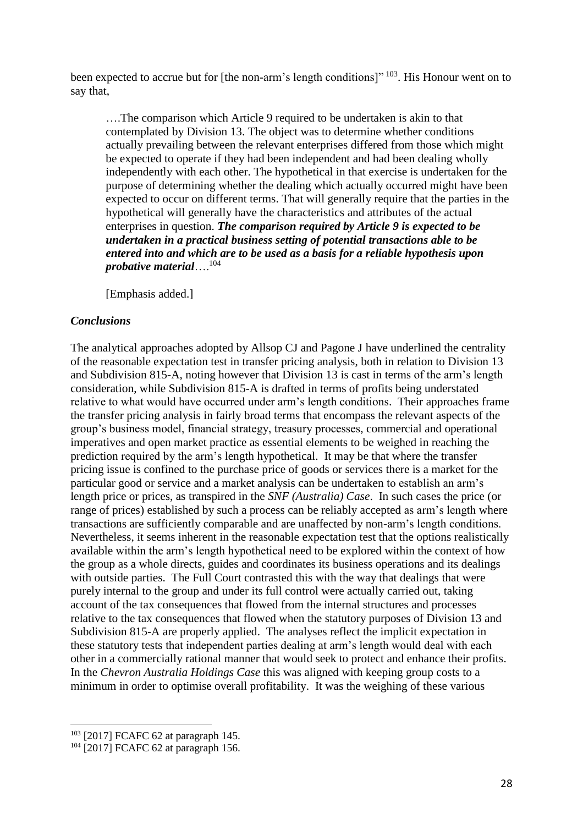been expected to accrue but for [the non-arm's length conditions]" <sup>103</sup>. His Honour went on to say that,

….The comparison which Article 9 required to be undertaken is akin to that contemplated by Division 13. The object was to determine whether conditions actually prevailing between the relevant enterprises differed from those which might be expected to operate if they had been independent and had been dealing wholly independently with each other. The hypothetical in that exercise is undertaken for the purpose of determining whether the dealing which actually occurred might have been expected to occur on different terms. That will generally require that the parties in the hypothetical will generally have the characteristics and attributes of the actual enterprises in question. *The comparison required by Article 9 is expected to be undertaken in a practical business setting of potential transactions able to be entered into and which are to be used as a basis for a reliable hypothesis upon probative material*…. 104

[Emphasis added.]

#### *Conclusions*

The analytical approaches adopted by Allsop CJ and Pagone J have underlined the centrality of the reasonable expectation test in transfer pricing analysis, both in relation to Division 13 and Subdivision 815-A, noting however that Division 13 is cast in terms of the arm's length consideration, while Subdivision 815-A is drafted in terms of profits being understated relative to what would have occurred under arm's length conditions. Their approaches frame the transfer pricing analysis in fairly broad terms that encompass the relevant aspects of the group's business model, financial strategy, treasury processes, commercial and operational imperatives and open market practice as essential elements to be weighed in reaching the prediction required by the arm's length hypothetical. It may be that where the transfer pricing issue is confined to the purchase price of goods or services there is a market for the particular good or service and a market analysis can be undertaken to establish an arm's length price or prices, as transpired in the *SNF (Australia) Case*. In such cases the price (or range of prices) established by such a process can be reliably accepted as arm's length where transactions are sufficiently comparable and are unaffected by non-arm's length conditions. Nevertheless, it seems inherent in the reasonable expectation test that the options realistically available within the arm's length hypothetical need to be explored within the context of how the group as a whole directs, guides and coordinates its business operations and its dealings with outside parties. The Full Court contrasted this with the way that dealings that were purely internal to the group and under its full control were actually carried out, taking account of the tax consequences that flowed from the internal structures and processes relative to the tax consequences that flowed when the statutory purposes of Division 13 and Subdivision 815-A are properly applied. The analyses reflect the implicit expectation in these statutory tests that independent parties dealing at arm's length would deal with each other in a commercially rational manner that would seek to protect and enhance their profits. In the *Chevron Australia Holdings Case* this was aligned with keeping group costs to a minimum in order to optimise overall profitability. It was the weighing of these various

<sup>103</sup> [2017] FCAFC 62 at paragraph 145.

<sup>&</sup>lt;sup>104</sup> [2017] FCAFC 62 at paragraph 156.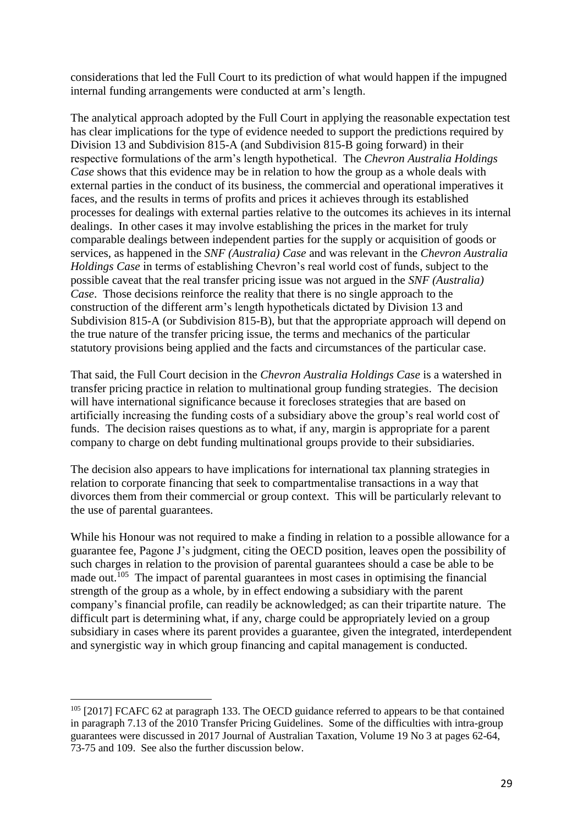considerations that led the Full Court to its prediction of what would happen if the impugned internal funding arrangements were conducted at arm's length.

The analytical approach adopted by the Full Court in applying the reasonable expectation test has clear implications for the type of evidence needed to support the predictions required by Division 13 and Subdivision 815-A (and Subdivision 815-B going forward) in their respective formulations of the arm's length hypothetical. The *Chevron Australia Holdings Case* shows that this evidence may be in relation to how the group as a whole deals with external parties in the conduct of its business, the commercial and operational imperatives it faces, and the results in terms of profits and prices it achieves through its established processes for dealings with external parties relative to the outcomes its achieves in its internal dealings. In other cases it may involve establishing the prices in the market for truly comparable dealings between independent parties for the supply or acquisition of goods or services, as happened in the *SNF (Australia) Case* and was relevant in the *Chevron Australia Holdings Case* in terms of establishing Chevron's real world cost of funds, subject to the possible caveat that the real transfer pricing issue was not argued in the *SNF (Australia) Case*. Those decisions reinforce the reality that there is no single approach to the construction of the different arm's length hypotheticals dictated by Division 13 and Subdivision 815-A (or Subdivision 815-B), but that the appropriate approach will depend on the true nature of the transfer pricing issue, the terms and mechanics of the particular statutory provisions being applied and the facts and circumstances of the particular case.

That said, the Full Court decision in the *Chevron Australia Holdings Case* is a watershed in transfer pricing practice in relation to multinational group funding strategies. The decision will have international significance because it forecloses strategies that are based on artificially increasing the funding costs of a subsidiary above the group's real world cost of funds. The decision raises questions as to what, if any, margin is appropriate for a parent company to charge on debt funding multinational groups provide to their subsidiaries.

The decision also appears to have implications for international tax planning strategies in relation to corporate financing that seek to compartmentalise transactions in a way that divorces them from their commercial or group context. This will be particularly relevant to the use of parental guarantees.

While his Honour was not required to make a finding in relation to a possible allowance for a guarantee fee, Pagone J's judgment, citing the OECD position, leaves open the possibility of such charges in relation to the provision of parental guarantees should a case be able to be made out.<sup>105</sup> The impact of parental guarantees in most cases in optimising the financial strength of the group as a whole, by in effect endowing a subsidiary with the parent company's financial profile, can readily be acknowledged; as can their tripartite nature. The difficult part is determining what, if any, charge could be appropriately levied on a group subsidiary in cases where its parent provides a guarantee, given the integrated, interdependent and synergistic way in which group financing and capital management is conducted.

<sup>&</sup>lt;sup>105</sup> [2017] FCAFC 62 at paragraph 133. The OECD guidance referred to appears to be that contained in paragraph 7.13 of the 2010 Transfer Pricing Guidelines. Some of the difficulties with intra-group guarantees were discussed in 2017 Journal of Australian Taxation, Volume 19 No 3 at pages 62-64, 73-75 and 109. See also the further discussion below.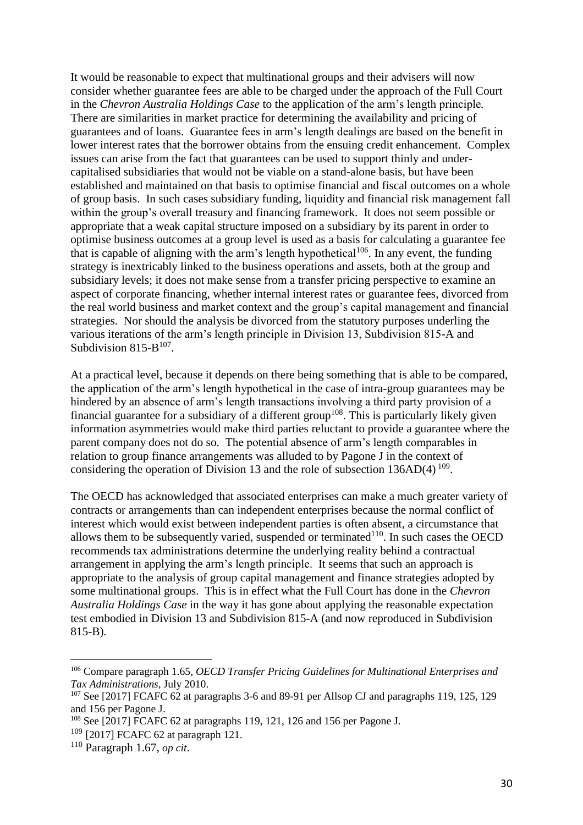It would be reasonable to expect that multinational groups and their advisers will now consider whether guarantee fees are able to be charged under the approach of the Full Court in the *Chevron Australia Holdings Case* to the application of the arm's length principle*.* There are similarities in market practice for determining the availability and pricing of guarantees and of loans. Guarantee fees in arm's length dealings are based on the benefit in lower interest rates that the borrower obtains from the ensuing credit enhancement. Complex issues can arise from the fact that guarantees can be used to support thinly and undercapitalised subsidiaries that would not be viable on a stand-alone basis, but have been established and maintained on that basis to optimise financial and fiscal outcomes on a whole of group basis. In such cases subsidiary funding, liquidity and financial risk management fall within the group's overall treasury and financing framework. It does not seem possible or appropriate that a weak capital structure imposed on a subsidiary by its parent in order to optimise business outcomes at a group level is used as a basis for calculating a guarantee fee that is capable of aligning with the arm's length hypothetical<sup>106</sup>. In any event, the funding strategy is inextricably linked to the business operations and assets, both at the group and subsidiary levels; it does not make sense from a transfer pricing perspective to examine an aspect of corporate financing, whether internal interest rates or guarantee fees, divorced from the real world business and market context and the group's capital management and financial strategies. Nor should the analysis be divorced from the statutory purposes underling the various iterations of the arm's length principle in Division 13, Subdivision 815-A and Subdivision 815- $B^{107}$ .

At a practical level, because it depends on there being something that is able to be compared, the application of the arm's length hypothetical in the case of intra-group guarantees may be hindered by an absence of arm's length transactions involving a third party provision of a financial guarantee for a subsidiary of a different group<sup>108</sup>. This is particularly likely given information asymmetries would make third parties reluctant to provide a guarantee where the parent company does not do so. The potential absence of arm's length comparables in relation to group finance arrangements was alluded to by Pagone J in the context of considering the operation of Division 13 and the role of subsection  $136AD(4)$   $109$ .

The OECD has acknowledged that associated enterprises can make a much greater variety of contracts or arrangements than can independent enterprises because the normal conflict of interest which would exist between independent parties is often absent, a circumstance that allows them to be subsequently varied, suspended or terminated $110$ . In such cases the OECD recommends tax administrations determine the underlying reality behind a contractual arrangement in applying the arm's length principle. It seems that such an approach is appropriate to the analysis of group capital management and finance strategies adopted by some multinational groups. This is in effect what the Full Court has done in the *Chevron Australia Holdings Case* in the way it has gone about applying the reasonable expectation test embodied in Division 13 and Subdivision 815-A (and now reproduced in Subdivision 815-B)*.*

<sup>106</sup> Compare paragraph 1.65, *OECD Transfer Pricing Guidelines for Multinational Enterprises and Tax Administrations*, July 2010.

 $107$  See [2017] FCAFC 62 at paragraphs 3-6 and 89-91 per Allsop CJ and paragraphs 119, 125, 129 and 156 per Pagone J.

<sup>108</sup> See [2017] FCAFC 62 at paragraphs 119, 121, 126 and 156 per Pagone J.

<sup>109</sup> [2017] FCAFC 62 at paragraph 121.

<sup>110</sup> Paragraph 1.67, *op cit*.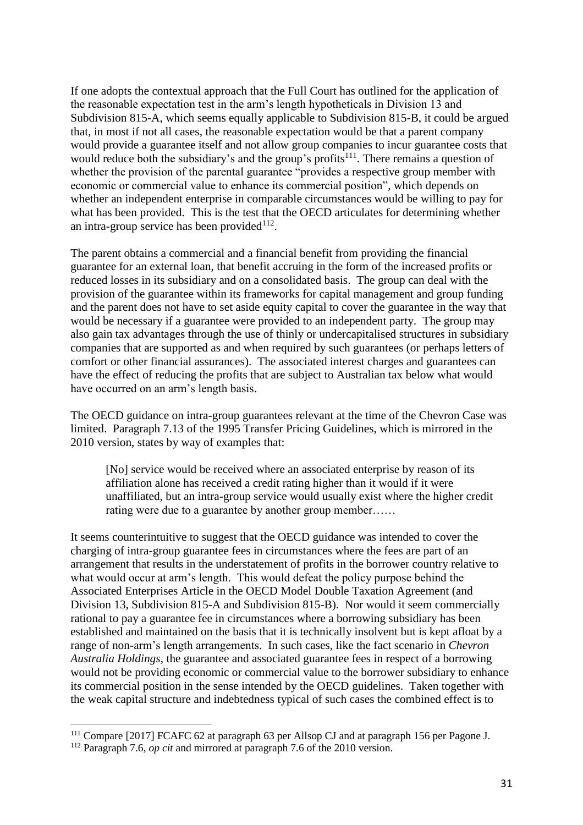If one adopts the contextual approach that the Full Court has outlined for the application of the reasonable expectation test in the arm's length hypotheticals in Division 13 and Subdivision 815-A, which seems equally applicable to Subdivision 815-B, it could be argued that, in most if not all cases, the reasonable expectation would be that a parent company would provide a guarantee itself and not allow group companies to incur guarantee costs that would reduce both the subsidiary's and the group's profits<sup>111</sup>. There remains a question of whether the provision of the parental guarantee "provides a respective group member with economic or commercial value to enhance its commercial position", which depends on whether an independent enterprise in comparable circumstances would be willing to pay for what has been provided. This is the test that the OECD articulates for determining whether an intra-group service has been provided $112$ .

The parent obtains a commercial and a financial benefit from providing the financial guarantee for an external loan, that benefit accruing in the form of the increased profits or reduced losses in its subsidiary and on a consolidated basis. The group can deal with the provision of the guarantee within its frameworks for capital management and group funding and the parent does not have to set aside equity capital to cover the guarantee in the way that would be necessary if a guarantee were provided to an independent party. The group may also gain tax advantages through the use of thinly or undercapitalised structures in subsidiary companies that are supported as and when required by such guarantees (or perhaps letters of comfort or other financial assurances). The associated interest charges and guarantees can have the effect of reducing the profits that are subject to Australian tax below what would have occurred on an arm's length basis.

The OECD guidance on intra-group guarantees relevant at the time of the Chevron Case was limited. Paragraph 7.13 of the 1995 Transfer Pricing Guidelines, which is mirrored in the 2010 version, states by way of examples that:

[No] service would be received where an associated enterprise by reason of its affiliation alone has received a credit rating higher than it would if it were unaffiliated, but an intra-group service would usually exist where the higher credit rating were due to a guarantee by another group member……

It seems counterintuitive to suggest that the OECD guidance was intended to cover the charging of intra-group guarantee fees in circumstances where the fees are part of an arrangement that results in the understatement of profits in the borrower country relative to what would occur at arm's length. This would defeat the policy purpose behind the Associated Enterprises Article in the OECD Model Double Taxation Agreement (and Division 13, Subdivision 815-A and Subdivision 815-B). Nor would it seem commercially rational to pay a guarantee fee in circumstances where a borrowing subsidiary has been established and maintained on the basis that it is technically insolvent but is kept afloat by a range of non-arm's length arrangements. In such cases, like the fact scenario in *Chevron Australia Holdings*, the guarantee and associated guarantee fees in respect of a borrowing would not be providing economic or commercial value to the borrower subsidiary to enhance its commercial position in the sense intended by the OECD guidelines. Taken together with the weak capital structure and indebtedness typical of such cases the combined effect is to

<sup>111</sup> Compare [2017] FCAFC 62 at paragraph 63 per Allsop CJ and at paragraph 156 per Pagone J.

<sup>112</sup> Paragraph 7.6, *op cit* and mirrored at paragraph 7.6 of the 2010 version.